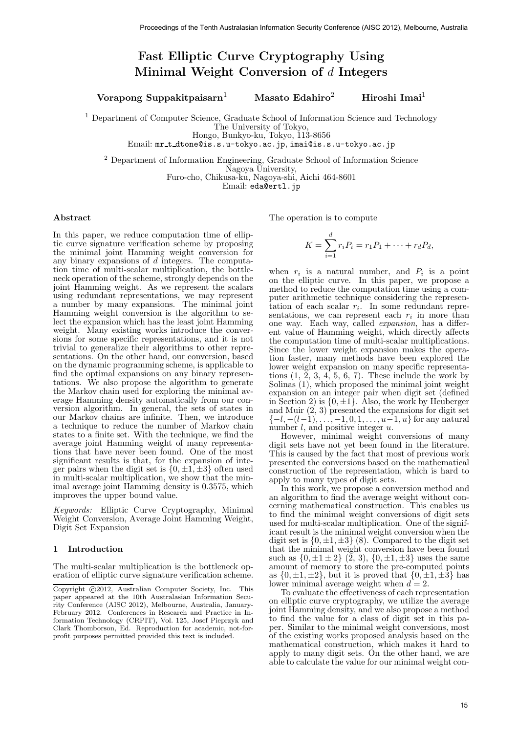# Fast Elliptic Curve Cryptography Using Minimal Weight Conversion of d Integers

# Vorapong Suppakitpaisarn<sup>1</sup> Masato Edahiro<sup>2</sup> Hiroshi Imai<sup>1</sup>

<sup>1</sup> Department of Computer Science, Graduate School of Information Science and Technology

The University of Tokyo,

Hongo, Bunkyo-ku, Tokyo, 113-8656

Email: mr t dtone@is.s.u-tokyo.ac.jp, imai@is.s.u-tokyo.ac.jp

<sup>2</sup> Department of Information Engineering, Graduate School of Information Science

Nagoya University,

Furo-cho, Chikusa-ku, Nagoya-shi, Aichi 464-8601

Email: eda@ertl.jp

## Abstract

In this paper, we reduce computation time of elliptic curve signature verification scheme by proposing the minimal joint Hamming weight conversion for any binary expansions of  $d$  integers. The computation time of multi-scalar multiplication, the bottleneck operation of the scheme, strongly depends on the joint Hamming weight. As we represent the scalars using redundant representations, we may represent a number by many expansions. The minimal joint Hamming weight conversion is the algorithm to select the expansion which has the least joint Hamming weight. Many existing works introduce the conversions for some specific representations, and it is not trivial to generalize their algorithms to other representations. On the other hand, our conversion, based on the dynamic programming scheme, is applicable to find the optimal expansions on any binary representations. We also propose the algorithm to generate the Markov chain used for exploring the minimal average Hamming density automatically from our conversion algorithm. In general, the sets of states in our Markov chains are infinite. Then, we introduce a technique to reduce the number of Markov chain states to a finite set. With the technique, we find the average joint Hamming weight of many representations that have never been found. One of the most significant results is that, for the expansion of integer pairs when the digit set is  $\{0, \pm 1, \pm 3\}$  often used in multi-scalar multiplication, we show that the minimal average joint Hamming density is 0.3575, which improves the upper bound value.

Keywords: Elliptic Curve Cryptography, Minimal Weight Conversion, Average Joint Hamming Weight, Digit Set Expansion

## 1 Introduction

The multi-scalar multiplication is the bottleneck operation of elliptic curve signature verification scheme. The operation is to compute

$$
K = \sum_{i=1}^{d} r_i P_i = r_1 P_1 + \dots + r_d P_d,
$$

when  $r_i$  is a natural number, and  $P_i$  is a point on the elliptic curve. In this paper, we propose a method to reduce the computation time using a computer arithmetic technique considering the representation of each scalar  $r_i$ . In some redundant representations, we can represent each  $r_i$  in more than one way. Each way, called expansion, has a different value of Hamming weight, which directly affects the computation time of multi-scalar multiplications. Since the lower weight expansion makes the operation faster, many methods have been explored the lower weight expansion on many specific representations  $(1, 2, 3, 4, 5, 6, 7)$ . These include the work by Solinas (1), which proposed the minimal joint weight expansion on an integer pair when digit set (defined in Section 2) is  $\{0, \pm 1\}$ . Also, the work by Heuberger and Muir (2, 3) presented the expansions for digit set  $\{-l, -(l-1), \ldots, -1, 0, 1, \ldots, u-1, u\}$  for any natural number  $l$ , and positive integer  $u$ . Proceeding of the Tenth Australia<br>
Proceedings of the Tenth Australia Conference (AISC 2012), the<br>same Last Ellipth Convertice (Lypt) Conference (AISC 2012), the Same Last<br>
The Conference (AISC 2012), The Conference (AISC

However, minimal weight conversions of many digit sets have not yet been found in the literature. This is caused by the fact that most of previous work presented the conversions based on the mathematical construction of the representation, which is hard to apply to many types of digit sets.

In this work, we propose a conversion method and an algorithm to find the average weight without concerning mathematical construction. This enables us to find the minimal weight conversions of digit sets used for multi-scalar multiplication. One of the significant result is the minimal weight conversion when the digit set is  $\{0, \pm 1, \pm 3\}$  (8). Compared to the digit set that the minimal weight conversion have been found such as  $\{0, \pm 1 \pm 2\}$   $(\tilde{2}, 3), \{0, \pm 1, \pm 3\}$  uses the same amount of memory to store the pre-computed points as  $\{0, \pm 1, \pm 2\}$ , but it is proved that  $\{0, \pm 1, \pm 3\}$  has lower minimal average weight when  $d = 2$ .

To evaluate the effectiveness of each representation on elliptic curve cryptography, we utilize the average joint Hamming density, and we also propose a method to find the value for a class of digit set in this paper. Similar to the minimal weight conversions, most of the existing works proposed analysis based on the mathematical construction, which makes it hard to apply to many digit sets. On the other hand, we are able to calculate the value for our minimal weight con-

 $\overline{\text{Copyright } } @2012$ , Australian Computer Society, Inc. This paper appeared at the 10th Australasian Information Security Conference (AISC 2012), Melbourne, Australia, January-February 2012. Conferences in Research and Practice in Information Technology (CRPIT), Vol. 125, Josef Pieprzyk and Clark Thomborson, Ed. Reproduction for academic, not-forprofit purposes permitted provided this text is included.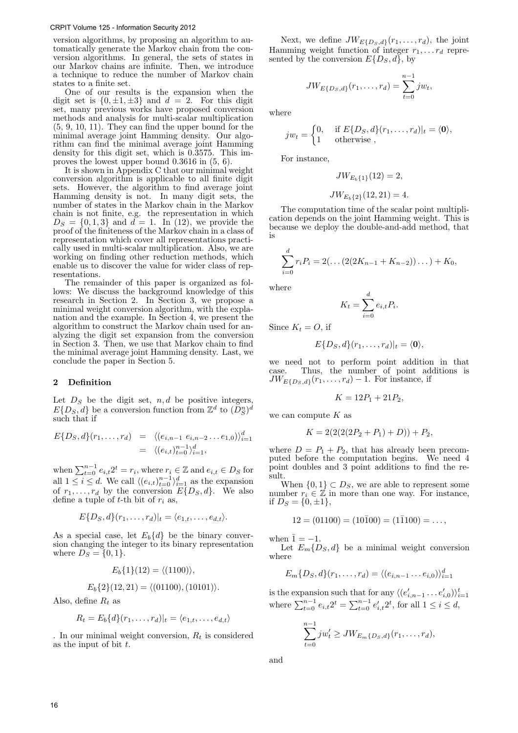version algorithms, by proposing an algorithm to automatically generate the Markov chain from the conversion algorithms. In general, the sets of states in our Markov chains are infinite. Then, we introduce a technique to reduce the number of Markov chain states to a finite set.

One of our results is the expansion when the digit set is  $\{0, \pm 1, \pm 3\}$  and  $d = 2$ . For this digit set, many previous works have proposed conversion methods and analysis for multi-scalar multiplication (5, 9, 10, 11). They can find the upper bound for the minimal average joint Hamming density. Our algorithm can find the minimal average joint Hamming density for this digit set, which is 0.3575. This improves the lowest upper bound 0.3616 in (5, 6).

It is shown in Appendix C that our minimal weight conversion algorithm is applicable to all finite digit sets. However, the algorithm to find average joint Hamming density is not. In many digit sets, the number of states in the Markov chain in the Markov chain is not finite, e.g. the representation in which  $D_S = \{0, 1, 3\}$  and  $d = 1$ . In (12), we provide the proof of the finiteness of the Markov chain in a class of representation which cover all representations practically used in multi-scalar multiplication. Also, we are working on finding other reduction methods, which enable us to discover the value for wider class of representations.

The remainder of this paper is organized as follows: We discuss the background knowledge of this research in Section 2. In Section 3, we propose a minimal weight conversion algorithm, with the explanation and the example. In Section 4, we present the algorithm to construct the Markov chain used for analyzing the digit set expansion from the conversion in Section 3. Then, we use that Markov chain to find the minimal average joint Hamming density. Last, we conclude the paper in Section 5.

#### 2 Definition

Let  $D<sub>S</sub>$  be the digit set,  $n, d$  be positive integers,  $E\{D_S, d\}$  be a conversion function from  $\mathbb{Z}^d$  to  $(D_S^n)^d$ such that if

$$
E\{D_S, d\}(r_1, \ldots, r_d) = \langle (e_{i,n-1} \ e_{i,n-2} \ldots e_{1,0}) \rangle_{i=1}^d
$$
  
=  $\langle (e_{i,t})_{t=0}^{n-1} \rangle_{i=1}^d$ ,

when  $\sum_{t=0}^{n-1} e_{i,t} 2^t = r_i$ , where  $r_i \in \mathbb{Z}$  and  $e_{i,t} \in D_S$  for all  $1 \leq i \leq d$ . We call  $\langle (e_{i,t})_{t=0}^{n-1} \rangle_{i=1}^d$  as the expansion of  $r_1, \ldots, r_d$  by the conversion  $E\{D_S, d\}$ . We also define a tuple of  $t$ -th bit of  $r_i$  as,

$$
E\{D_S, d\}(r_1, \ldots, r_d)|_t = \langle e_{1,t}, \ldots, e_{d,t} \rangle.
$$

As a special case, let  $E_b\{d\}$  be the binary conversion changing the integer to its binary representation where  $D_S = \{0, 1\}.$ 

$$
E_b\{1\}(12) = \langle (1100) \rangle,
$$
  

$$
E_b\{2\}(12, 21) = \langle (01100) \rangle (10101) \rangle
$$

$$
E_b\{2\}(12,21) = \langle (01100), (10101) \rangle
$$

Also, define  $R_t$  as

$$
R_t = E_b\{d\}(r_1,\ldots,r_d)|_t = \langle e_{1,t},\ldots,e_{d,t}\rangle
$$

. In our minimal weight conversion,  $R_t$  is considered as the input of bit  $t$ .

Next, we define  $JW_{E{D_S},d}(r_1,\ldots,r_d)$ , the joint Hamming weight function of integer  $r_1, \ldots r_d$  represented by the conversion  $E\{D_S, d\}$ , by

$$
JW_{E\{D_S, d\}}(r_1, \ldots, r_d) = \sum_{t=0}^{n-1} jw_t,
$$

where

$$
jw_t = \begin{cases} 0, & \text{if } E\{D_S, d\}(r_1, \dots, r_d)|_t = \langle \mathbf{0} \rangle, \\ 1 & \text{otherwise} \end{cases}
$$

For instance,

$$
JW_{E_b\{1\}}(12) = 2,
$$

$$
JW_{E_b\{2\}}(12,21) = 4.
$$

The computation time of the scalar point multiplication depends on the joint Hamming weight. This is because we deploy the double-and-add method, that is

$$
\sum_{i=0}^{d} r_i P_i = 2(\dots(2(2K_{n-1} + K_{n-2}))\dots) + K_0,
$$

where

$$
K_t = \sum_{i=0}^d e_{i,t} P_i.
$$

Since  $K_t = O$ , if

$$
E\{D_S, d\}(r_1,\ldots,r_d)|_t = \langle \mathbf{0} \rangle,
$$

we need not to perform point addition in that case. Thus, the number of point additions is  $JW_{E\{D_S, d\}}(r_1, \ldots, r_d) - 1$ . For instance, if

$$
K = 12P_1 + 21P_2,
$$

we can compute  $K$  as

$$
K = 2(2(2(P_2 + P_1) + D)) + P_2,
$$

where  $D = P_1 + P_2$ , that has already been precomputed before the computation begins. We need 4 point doubles and 3 point additions to find the result.

When  $\{0,1\} \subset D_S$ , we are able to represent some number  $r_i \in \mathbb{Z}$  in more than one way. For instance, if  $D_S = \{0, \pm 1\},\,$ 

$$
12 = (01100) = (10\overline{1}00) = (1\overline{1}100) = \dots,
$$

when  $\bar{1} = -1$ .

Let  $E_m\{D_S, d\}$  be a minimal weight conversion where

$$
E_m\{D_S, d\}(r_1, \ldots, r_d) = \langle (e_{i,n-1} \ldots e_{i,0}) \rangle_{i=1}^d
$$

is the expansion such that for any  $\langle (e'_{i,n-1} \dots e'_{i,0}) \rangle_{i=1}^t$ where  $\sum_{t=0}^{n-1} e_{i,t} 2^t = \sum_{t=0}^{n-1} e'_{i,t} 2^t$ , for all  $1 \le i \le d$ ,

$$
\sum_{t=0}^{n-1} j w_t' \geq J W_{E_m\{D_S, d\}}(r_1, \dots, r_d),
$$

and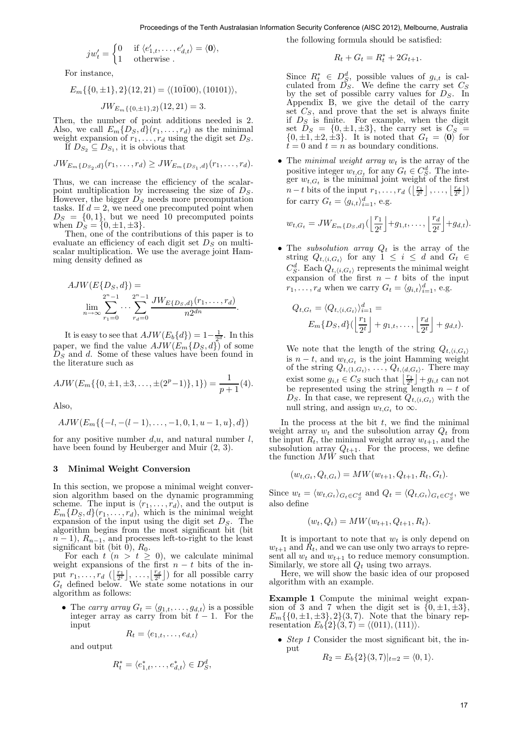$$
jw'_t = \begin{cases} 0 & \text{if } \langle e'_{1,t}, \dots, e'_{d,t} \rangle = \langle \mathbf{0} \rangle, \\ 1 & \text{otherwise} \end{cases}
$$

For instance,

$$
E_m\{\{0,\pm 1\},2\}(12,21) = \langle (10\overline{1}00), (10101) \rangle,
$$

$$
JW_{E_m\{\{0,\pm 1\},2\}}(12,21)=3.
$$

Then, the number of point additions needed is 2. Also, we call  $E_m\{D_S, d\}(r_1, \ldots, r_d)$  as the minimal weight expansion of  $r_1, \ldots, r_d$  using the digit set  $D_S$ . If  $D_{S_2} \subseteq D_{S_1}$ , it is obvious that

$$
JW_{E_m\{D_{S_2},d\}}(r_1,\ldots,r_d) \geq JW_{E_m\{D_{S_1},d\}}(r_1,\ldots,r_d).
$$

Thus, we can increase the efficiency of the scalarpoint multiplication by increaseing the size of  $D<sub>S</sub>$ . However, the bigger  $D<sub>S</sub>$  needs more precomputation tasks. If  $d = 2$ , we need one precomputed point when  $D_S = \{0, 1\}$ , but we need 10 precomputed points when  $D_S = \{0, \pm 1, \pm 3\}.$ 

Then, one of the contributions of this paper is to evaluate an efficiency of each digit set  $D<sub>S</sub>$  on multiscalar multiplication. We use the average joint Hamming density defined as

$$
AJW(E\{D_S, d\}) = \lim_{n \to \infty} \sum_{r_1=0}^{2^n - 1} \cdots \sum_{r_d=0}^{2^n - 1} \frac{JW_{E\{D_S, d\}}(r_1, \ldots, r_d)}{n2^{dn}}.
$$

It is easy to see that  $AJW(E_b{d}) = 1 - \frac{1}{2^d}$ . In this paper, we find the value  $AJW(E_m{D_S}, d)$  of some  $D<sub>S</sub>$  and d. Some of these values have been found in the literature such as

$$
AJW(E_m\{\{0,\pm 1,\pm 3,\ldots,\pm(2^p-1)\},1\})=\frac{1}{p+1}(4).
$$

Also,

$$
AJW(E_m\{\{-l,-(l-1),\ldots,-1,0,1,u-1,u\},d\})
$$

for any positive number  $d, u$ , and natural number  $l$ , have been found by Heuberger and Muir (2, 3).

#### 3 Minimal Weight Conversion

In this section, we propose a minimal weight conversion algorithm based on the dynamic programming scheme. The input is  $\langle r_1, \ldots, r_d \rangle$ , and the output is  $E_m\{D_S, d\}(r_1, \ldots, r_d)$ , which is the minimal weight expansion of the input using the digit set  $D<sub>S</sub>$ . The algorithm begins from the most significant bit (bit  $n-1$ ,  $R_{n-1}$ , and processes left-to-right to the least significant bit (bit 0),  $R_0$ .

For each  $t$   $(n > t \geq 0)$ , we calculate minimal weight expansions of the first  $n - t$  bits of the input  $r_1, \ldots, r_d$   $\left(\left\lfloor \frac{r_1}{2^t} \right\rfloor, \ldots, \left\lfloor \frac{r_d}{2^t} \right\rfloor \right)$  for all possible carry  $G_t$  defined below. We state some notations in our algorithm as follows:

• The carry array  $G_t = \langle g_{1,t}, \ldots, g_{d,t} \rangle$  is a possible integer array as carry from bit  $t-1$ . For the input

$$
R_t = \langle e_{1,t}, \ldots, e_{d,t} \rangle
$$

and output

$$
R_t^* = \langle e_{1,t}^*, \dots, e_{d,t}^* \rangle \in D_S^d,
$$

the following formula should be satisfied:

$$
R_t + G_t = R_t^* + 2G_{t+1}.
$$

Since  $R_t^* \in D_S^d$ , possible values of  $g_{i,t}$  is calculated from  $\tilde{D_S}$ . We define the carry set  $C_S$ by the set of possible carry values for  $D_S$ . In Appendix B, we give the detail of the carry set  $C<sub>S</sub>$ , and prove that the set is always finite if  $D<sub>S</sub>$  is finite. For example, when the digit set  $D_S = \{0, \pm 1, \pm 3\}$ , the carry set is  $C_S$  =  $\{0, \pm 1, \pm 2, \pm 3\}$ . It is noted that  $G_t = \langle 0 \rangle$  for  $t = 0$  and  $t = n$  as boundary conditions. Proceeding the the Australian Internation Security Conference (AISC 21), Alexandro Security Conference (AISC 2012), Alexandro Security Conference (AISC 2012), Alexandro Security Conference (AISC 2012), Australian Internat

• The minimal weight array  $w_t$  is the array of the positive integer  $w_{t,G_t}$  for any  $G_t \in C_S^d$ . The integer  $w_{t,G_t}$  is the minimal joint weight of the first  $n-t$  bits of the input  $r_1, \ldots, r_d$   $\left(\left\lfloor \frac{r_1}{2^t} \right\rfloor, \ldots, \left\lfloor \frac{r_d}{2^t} \right\rfloor\right)$ for carry  $G_t = \langle g_{i,t} \rangle_{i=1}^d$ , e.g.

$$
w_{t,G_t} = JW_{E_m\{D_S,d\}}(\left\lfloor \frac{r_1}{2^t} \right\rfloor + g_{1,t}, \ldots, \left\lfloor \frac{r_d}{2^t} \right\rfloor + g_{d,t}).
$$

• The *subsolution array*  $Q_t$  is the array of the string  $Q_{t,\langle i,G_t \rangle}$  for any  $1 \leq i \leq d$  and  $G_t \in$  $C_S^d$ . Each  $Q_{t,\langle i,G_t \rangle}$  represents the minimal weight expansion of the first  $n - t$  bits of the input  $r_1, \ldots, r_d$  when we carry  $G_t = \langle g_{i,t} \rangle_{i=1}^d$ , e.g.

$$
Q_{t,G_t} = \langle Q_{t,\langle i,G_t \rangle} \rangle_{i=1}^d =
$$
  

$$
E_m\{D_S, d\} (\left\lfloor \frac{r_1}{2^t} \right\rfloor + g_{1,t}, \dots, \left\lfloor \frac{r_d}{2^t} \right\rfloor + g_{d,t}).
$$

We note that the length of the string  $Q_{t,\langle i,G_t\rangle}$ is  $n - t$ , and  $w_{t,G_t}$  is the joint Hamming weight of the string  $Q_{t, \langle 1, G_t \rangle}, \ldots, Q_{t, \langle d, G_t \rangle}.$  There may exist some  $g_{i,t} \in C_S$  such that  $\left\lfloor \frac{r_1}{2^t} \right\rfloor + g_{i,t}$  can not be represented using the string length  $n - t$  of  $D<sub>S</sub>$ . In that case, we represent  $Q_{t,\langle i,G_t \rangle}$  with the null string, and assign  $w_{t,G_t}$  to  $\infty$ .

In the process at the bit  $t$ , we find the minimal weight array  $w_t$  and the subsolution array  $Q_t$  from the input  $R_t$ , the minimal weight array  $w_{t+1}$ , and the subsolution array  $Q_{t+1}$ . For the process, we define the function  $MW$  such that

$$
(w_{t,G_t}, Q_{t,G_t}) = MW(w_{t+1}, Q_{t+1}, R_t, G_t).
$$

Since  $w_t = \langle w_{t,G_t} \rangle_{G_t \in C_S^d}$  and  $Q_t = \langle Q_{t,G_t} \rangle_{G_t \in C_S^d}$ , we also define

$$
(w_t, Q_t) = MW(w_{t+1}, Q_{t+1}, R_t).
$$

It is important to note that  $w_t$  is only depend on  $w_{t+1}$  and  $\overline{R}_t$ , and we can use only two arrays to represent all  $w_t$  and  $w_{t+1}$  to reduce memory consumption. Similarly, we store all  $Q_t$  using two arrays.

Here, we will show the basic idea of our proposed algorithm with an example.

Example 1 Compute the minimal weight expansion of 3 and 7 when the digit set is  $\{0, \pm 1, \pm 3\},\$  $E_m\{\{0,\pm 1,\pm 3\},2\}(3,7)$ . Note that the binary representation  $E_b\{2\}(3,7) = \langle (011), (111) \rangle.$ 

• *Step 1* Consider the most significant bit, the input

$$
R_2 = E_b\{2\}(3,7)|_{t=2} = \langle 0,1 \rangle.
$$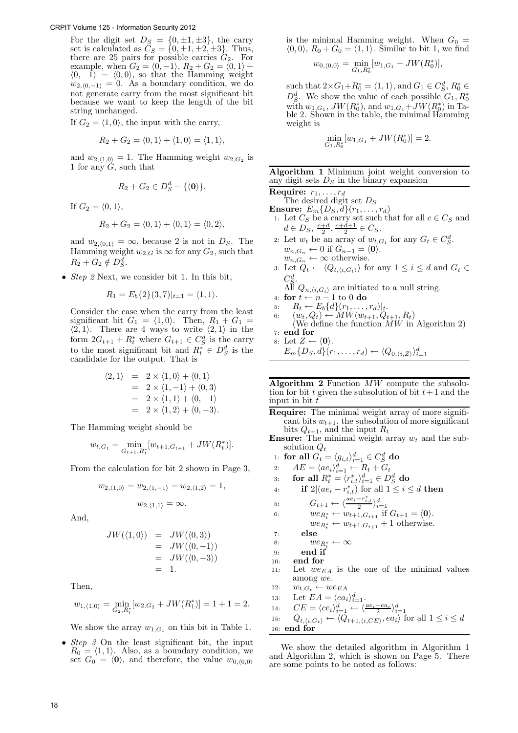For the digit set  $D_S = \{0, \pm 1, \pm 3\}$ , the carry set is calculated as  $C_S = \{0, \pm 1, \pm 2, \pm 3\}$ . Thus, there are 25 pairs for possible carries  $G_2$ . For example, when  $G_2 = \langle 0, -1 \rangle$ ,  $R_2 + G_2 = \langle 0, 1 \rangle +$  $\langle 0, -1 \rangle = \langle 0, 0 \rangle$ , so that the Hamming weight  $w_{2,(0,-1)} = 0$ . As a boundary condition, we do not generate carry from the most significant bit because we want to keep the length of the bit string unchanged.

If  $G_2 = \langle 1, 0 \rangle$ , the input with the carry,

$$
R_2 + G_2 = \langle 0, 1 \rangle + \langle 1, 0 \rangle = \langle 1, 1 \rangle,
$$

and  $w_{2,\langle 1,0\rangle} = 1$ . The Hamming weight  $w_{2,G_2}$  is 1 for any  $G$ , such that

$$
R_2+G_2\in D_S^d-\{\langle \mathbf{0}\rangle\}.
$$

If  $G_2 = \langle 0, 1 \rangle$ ,

$$
R_2 + G_2 = \langle 0, 1 \rangle + \langle 0, 1 \rangle = \langle 0, 2 \rangle,
$$

and  $w_{2,(0,1)} = \infty$ , because 2 is not in  $D<sub>S</sub>$ . The Hamming weight  $w_{2,G}$  is  $\infty$  for any  $G_2$ , such that  $R_2 + G_2 \notin D_S^d$ .

• *Step 2* Next, we consider bit 1. In this bit,

$$
R_1 = E_b\{2\}(3,7)|_{t=1} = \langle 1,1 \rangle.
$$

Consider the case when the carry from the least significant bit  $G_1 = \langle 1, 0 \rangle$ . Then,  $R_1 + G_1 =$  $\langle 2, 1 \rangle$ . There are 4 ways to write  $\langle 2, 1 \rangle$  in the form  $2G_{t+1} + R_t^*$  where  $G_{t+1} \in C_S^d$  is the carry to the most significant bit and  $R_t^* \in D_S^d$  is the candidate for the output. That is

$$
\langle 2, 1 \rangle = 2 \times \langle 1, 0 \rangle + \langle 0, 1 \rangle
$$
  
= 2 \times \langle 1, -1 \rangle + \langle 0, 3 \rangle  
= 2 \times \langle 1, 1 \rangle + \langle 0, -1 \rangle  
= 2 \times \langle 1, 2 \rangle + \langle 0, -3 \rangle.

The Hamming weight should be

$$
w_{t,G_t} = \min_{G_{t+1}, R_t^*} [w_{t+1,G_{t+1}} + JW(R_t^*)].
$$

From the calculation for bit 2 shown in Page 3,

$$
w_{2,\langle 1,0\rangle} = w_{2,\langle 1,-1\rangle} = w_{2,\langle 1,2\rangle} = 1,
$$
  

$$
w_{2,\langle 1,1\rangle} = \infty.
$$

And,

$$
JW(\langle 1,0 \rangle) = JW(\langle 0,3 \rangle)
$$
  
= JW(\langle 0,-1 \rangle)  
= JW(\langle 0,-3 \rangle)  
= 1.

Then,

$$
w_{1,\langle 1,0\rangle} = \min_{G_2, R_t^*} [w_{2,G_2} + JW(R_1^*)] = 1 + 1 = 2.
$$

We show the array  $w_{1,G_1}$  on this bit in Table 1.

• Step  $\beta$  On the least significant bit, the input  $R_0 = \langle 1, 1 \rangle$ . Also, as a boundary condition, we set  $G_0 = \langle 0 \rangle$ , and therefore, the value  $w_{0,\langle 0,0 \rangle}$ 

is the minimal Hamming weight. When  $G_0 =$  $\langle 0, 0 \rangle$ ,  $R_0 + G_0 = \langle 1, 1 \rangle$ . Similar to bit 1, we find ∗ )],

$$
w_{0,\langle 0,0\rangle} = \min_{G_1,R_0^*}[w_{1,G_1} + JW(R_0^*)],
$$

such that  $2\times G_1 + R_0^* = \langle 1, 1 \rangle$ , and  $G_1 \in C_S^d$ ,  $R_0^* \in$  $D_S^d$ . We show the value of each possible  $G_1, R_0^*$ with  $w_{1,G_1}$ ,  $JW(R_0^*)$ , and  $w_{1,G_1}+JW(R_0^*)$  in Table 2. Shown in the table, the minimal Hamming weight is

$$
\min_{G_1, R_0^*} [w_{1, G_1} + JW(R_0^*)] = 2.
$$

# Algorithm 1 Minimum joint weight conversion to any digit sets  $D<sub>S</sub>$  in the binary expansion

Require:  $r_1, \ldots, r_d$ 

The desired digit set  $D<sub>S</sub>$ 

- $\textbf{Ensure: } E_m\{D_S, d\}(r_1, \ldots, r_d)$ 1: Let  $C_S$  be a carry set such that for all  $c \in C_S$  and  $d \in D_S, \frac{c+d}{2}, \frac{c+d+1}{2} \in C_S.$
- 2: Let  $w_t$  be an array of  $w_{t,G_t}$  for any  $G_t \in C_S^d$ .  $w_{n,G_n} \leftarrow 0$  if  $G_{n-1} = \langle 0 \rangle$ .  $w_{n,G_n} \leftarrow \infty$  otherwise.
- 3: Let  $Q_t \leftarrow \langle Q_{t, \langle i, G_t \rangle} \rangle$  for any  $1 \leq i \leq d$  and  $G_t \in$  $C_S^d$ .

All  $Q_{n,\langle i,G_t \rangle}$  are initiated to a null string.

- 4: for  $t \leftarrow n 1$  to 0 do
- 5:  $R_t \leftarrow E_b\{d\}(r_1,\ldots,r_d)|_t.$
- 6:  $(w_t, Q_t) \leftarrow MW(w_{t+1}, Q_{t+1}, R_t)$
- (We define the function  $MW$  in Algorithm 2) 7: end for

$$
\text{8: Let } Z \leftarrow \langle \mathbf{0} \rangle. \nE_m \{ D_S, d \} (r_1, \dots, r_d) \leftarrow \langle Q_{0, \langle i, Z \rangle} \rangle_{i=1}^d
$$

Algorithm  $2$  Function  $MW$  compute the subsolution for bit t given the subsolution of bit  $t+1$  and the input in bit  $t$ 

- Require: The minimal weight array of more significant bits  $w_{t+1}$ , the subsolution of more significant bits  $Q_{t+1}$ , and the input  $R_t$
- **Ensure:** The minimal weight array  $w_t$  and the subsolution  $Q_t$
- 1: for all  $G_t = \langle g_{i,t}\rangle_{i=1}^d \in C_S^d$  do
- 2:  $AE = \langle ae_i \rangle_{i=1}^d \leftarrow R_t + G_t$ <br>2. for all  $R^* \langle r^* \rangle_{i=1}^d \subset D_t$

3: for all 
$$
R_t^* = \langle r_{i,t}^* \rangle_{i=1}^d \in D_S^d
$$
 do

4: if 
$$
2|(ae_i - r_{i,t}^*)
$$
 for all  $1 \leq i \leq d$  then

$$
5: \tG_{t+1} \leftarrow \langle \frac{ae_i - r_{i,t}^*}{2} \rangle_{i}^d.
$$

5:  $G_{t+1} \leftarrow \langle \frac{ae_i - r_{i,t}^*}{2} \rangle_{i=1}^d$ <br>6:  $we_{R_t^*} \leftarrow w_{t+1, G_{t+1}}$  if  $G_{t+1} = \langle 0 \rangle$ .

$$
we_{R_t^*} \leftarrow w_{t+1, G_{t+1}} + 1 \text{ otherwise.}
$$
  
7: else

$$
rac{1}{8}
$$

- 8:  $we_{R_t^*} \leftarrow \infty$ 9: end if
- 10: end for
- 
- 11: Let  $we_{EA}$  is the one of the minimal values among we.
- 12:  $w_{t,G_t} \leftarrow we_{EA}$
- 13: Let  $EA = \langle ea_i \rangle_{i=1}^d$ .
- 
- 14:  $CE = \langle ce_i\rangle_{i=1}^d \leftarrow \langle \frac{ae_i ea_i}{2} \rangle_{i=1}^d$ <br>
15:  $Q_{t, \langle i, G_t \rangle} \leftarrow \langle Q_{t+1, \langle i, CE \rangle}, ea_i \rangle \text{ for all } 1 \leq i \leq d$ 16: end for

We show the detailed algorithm in Algorithm 1 and Algorithm 2, which is shown on Page 5. There are some points to be noted as follows: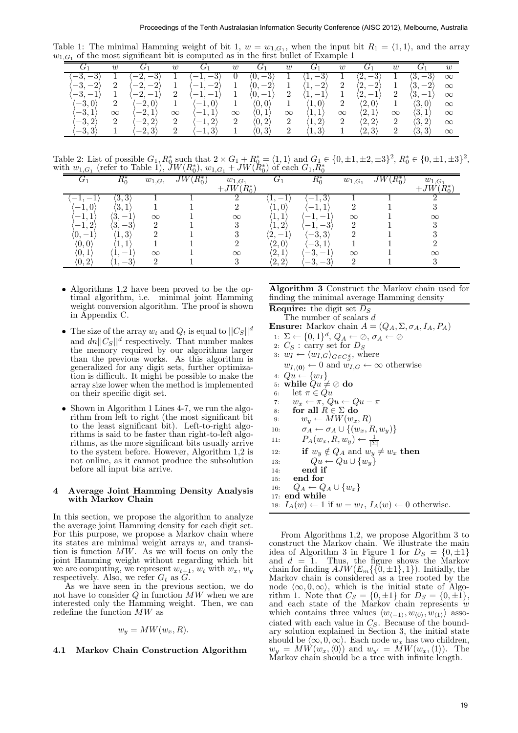Table 1: The minimal Hamming weight of bit 1,  $w = w_{1,G_1}$ , when the input bit  $R_1 = \langle 1, 1 \rangle$ , and the array  $w_{1,G_1}$  of the most significant bit is computed as in the first bullet of Example 1

|                                                               | w                          |                                                       | $\boldsymbol{w}$ |                               | $\boldsymbol{w}$ |                        | w        | ے ۔                       | $\boldsymbol{w}$ | U1                                       | $\boldsymbol{w}$ | $\mathcal{F}^*$       | w        |
|---------------------------------------------------------------|----------------------------|-------------------------------------------------------|------------------|-------------------------------|------------------|------------------------|----------|---------------------------|------------------|------------------------------------------|------------------|-----------------------|----------|
| $\Omega$<br>$\Omega$<br>$\cdot -$ o.<br>€                     |                            | ົ<br>$\Omega$<br>٠,                                   |                  | ◡                             |                  | $\Omega$<br>Ό,<br>◡    |          | ಀ<br><u>д</u> ,           |                  | $\Omega$<br>ົງ<br>υ<br><u>, د م</u>      |                  | $\Omega$<br>(3<br>—ა. | $\infty$ |
| $\Omega$<br>$\Omega$<br>$\prime - \delta$ ,<br>$\overline{a}$ | $\Omega$                   | ച<br>$\Omega$<br>٠,<br>↵                              |                  | $\Omega$<br>↵                 |                  | $\cdot 2$<br>Ό,        |          | $\Omega$<br>∠<br><b>.</b> | $\Omega$<br>∠    | ച<br>$\qquad \qquad \longleftarrow$<br>∠ |                  | $-2$<br>ω.            | $\infty$ |
| $\Omega$<br>$\zeta - \delta$ .                                |                            |                                                       |                  |                               |                  | υ,                     |          |                           |                  | $\hspace{0.05cm}$<br>∠                   |                  | €                     | $\infty$ |
| $[-3,0]$                                                      |                            | $\mathbf{0}$<br>$\hspace{0.1mm}-\hspace{0.1mm}$<br>۰, |                  | $\hspace{0.05cm}$<br><b>.</b> |                  | $\langle 0,0]$         |          | $\ket{1,0}$               | $\Omega$         | $\langle 2,0\rangle$                     |                  | $\langle 3,0\rangle$  | $\infty$ |
| $\Omega$<br>$-3, 1.$                                          | $\infty$                   | $\Omega$<br>$\sim$<br>ᅩ                               | $\infty$         | <b>.</b>                      | $\infty$         | (0. 1                  | $\infty$ | <b>1.L</b>                | $\infty$         | '2,1                                     | $\infty$         | $\langle 3,1$         | $\infty$ |
| $-3, 2$                                                       | $\Omega$<br>$\overline{a}$ | $\langle -2, 2 \rangle$                               |                  | ച                             | $\Omega$<br>∠    | $\langle 0, 2 \rangle$ |          | $1.2^{\circ}$             | $\Omega$         | (2, 2)                                   |                  | $\langle 3,2\rangle$  | $\infty$ |
| $[-3, 3]$                                                     |                            | $-2, 3$                                               |                  |                               |                  | $\Omega$<br>U. 3       |          | 1, U.                     |                  | (2,3)                                    | $\Omega$         | $\langle 3,3\rangle$  | $\infty$ |

Table 2: List of possible  $G_1, R_0^*$  such that  $2 \times G_1 + R_0^* = \langle 1, 1 \rangle$  and  $G_1 \in \{0, \pm 1, \pm 2, \pm 3\}^2$ ,  $R_0^* \in \{0, \pm 1, \pm 3\}^2$ , with  $w_{1,G_1}$  (refer to Table 1),  $JW(R_0^*)$ ,  $w_{1,G_1} + JW(R_0^*)$  of each  $G_1, R_0^*$ 

| ble 1: The minimal Hamming weight of bit 1, $w = w_{1,G_1}$ , when the input bit $R_1 = \langle 1, 1 \rangle$ , and the array<br>$G_1$ of the most significant bit is computed as in the first bullet of Example 1<br>$G_1$<br>$G_1$<br>$G_1$<br>$G_1$<br>$G_1$<br>$G_1$<br>$G_1$<br>$\boldsymbol{w}$<br>$\boldsymbol{w}$<br>w<br>$\boldsymbol{w}$<br>$\boldsymbol{w}$<br>w<br>w<br>$-3,-3\rangle$<br>$\overline{1}$<br>$-2, -3\rangle$<br>$\langle -1, -3 \rangle$<br>$\langle 0,-3 \rangle$<br>$\langle 2,-3 \rangle$<br>$\langle 3,-3 \rangle$<br>$\boldsymbol{0}$<br>$\langle 1,-3 \rangle$<br>1<br>1<br>1<br>1<br>$\infty$<br>$\sqrt{2}$<br>$\,2$<br>$-2, -2\rangle$<br>$\mathbf{1}$<br>$-3, -2\rangle$<br>$\mathbf{1}$<br>$\langle -1,-2 \rangle$<br>1<br>$\langle 0,-2\rangle$<br>$\langle 1,-2\rangle$<br>$\langle 2,-2\rangle$<br>$\mathbf{1}$<br>$\langle 3,-2\rangle$<br>$\infty$<br>$\langle 2,-1\rangle$<br>$\mathbf{1}$<br>2<br>1<br>2<br>2<br>$\langle 3,-1\rangle$<br>-3, $-1\rangle$<br>$-2,-1\rangle$<br>$-1, -1$<br>$\langle 0,-1\rangle$<br>$\langle 1,-1\rangle$<br>1<br>$\infty$<br>$\boldsymbol{2}$<br>$\boldsymbol{2}$<br>$-3,0\rangle$<br>$\langle -2,0\rangle$<br>$\langle 2,0\rangle$<br>$\langle 3,0 \rangle$<br>$\mathbf{1}$<br>$\langle -1,0\rangle$<br>1<br>1<br>1<br>$\langle 0,0 \rangle$<br>$\langle 1,0 \rangle$<br>$\infty$<br>$-3,1\rangle$<br>$-2,1\rangle$<br>$\langle 3,1\rangle$<br>$\langle 2,1\rangle$<br>$-1,1\rangle$<br>$\langle 0,1\rangle$<br>$\langle 1,1\rangle$<br>$\infty$<br>$\infty$<br>$\infty$<br>$\infty$<br>$\infty$<br>$\infty$<br>$\infty$<br>$-3,2\rangle$<br>$\sqrt{2}$<br>$\sqrt{2}$<br>$\sqrt{2}$<br>$\,2$<br>$-2,2\rangle$<br>$\sqrt{2}$<br>$\langle 1,2\rangle$<br>$\langle 2, 2 \rangle$<br>$\boldsymbol{2}$<br>$\langle 3,2\rangle$<br>$-1,2\rangle$<br>$\langle 0,2\rangle$<br>$\infty$<br>$-3,3\rangle$<br>$\overline{2}$<br>$\overline{2}$<br>$\langle 2,3 \rangle$<br>$\overline{2}$<br>$\langle 3,3\rangle$<br>$-2,3\rangle$<br>$\langle 1,3 \rangle$<br>1<br>$-1,3\rangle$<br>$\mathbf 1$<br>$\langle 0,3 \rangle$<br>1<br>$\infty$<br>able 2: List of possible $G_1, R_0^*$ such that $2 \times G_1 + R_0^* = \langle 1, 1 \rangle$ and $G_1 \in \{0, \pm 1, \pm 2, \pm 3\}^2$ , $R_0^* \in \{0, \pm 1, \pm 3\}^2$<br>th $w_{1,G_1}$ (refer to Table 1), $\tilde{J}W(R_0^*)$ , $w_{1,G_1} + \tilde{J}W(R_0^*)$ of each $G_1, R_0^*$<br>$R_0^*$<br>$G_1$<br>$JW(R_0^*)$<br>$JW(R_0^*)$<br>$G_1$<br>$\overline{w_{1,G_1}}$<br>$w_{1,G_1}$<br>$w_{1,G_1}$<br>$w_{1,G_1}$<br>$\frac{+JW(R_{0}^{*})}{2}$<br>$+JW(\bar R_0^*)$<br>$\langle 3,3 \rangle$<br>$\langle 1,-1\rangle$<br>$\langle -1, 3 \rangle$<br>1<br>1<br>$\langle -1, -1 \rangle$<br>1<br>1<br>$\,2$<br>$\,3$<br>$\langle 3,1\rangle$<br>$\mathbf{1}$<br>$\boldsymbol{2}$<br>$\mathbf{1}$<br>$\mathbf{1}$<br>$\langle -1, 1 \rangle$<br>$\ket{-1,0}$<br>$\langle 1,0\rangle$<br>1<br>$-1,1\rangle$<br>$\langle 3,-1\rangle$<br>$\mathbf 1$<br>$\langle 1,1\rangle$<br>$\langle -1,-1\rangle$<br>$\infty$<br>$\infty$<br>$\infty$<br>$\infty$<br>$\,1$<br>$\sqrt{3}$<br>$\langle -1,-3 \rangle$<br>$\,2$<br>$\sqrt{3}$<br>$-1,2\rangle$<br>$\boldsymbol{2}$<br>1<br>$\langle 3,-3 \rangle$<br>$\langle 1,2\rangle$<br>$\,1\,$<br>$\,2$<br>$\,2$<br>$\,3$<br>$\mathbf{1}$<br>$\sqrt{3}$<br>$\langle 1, 3 \rangle$<br>$\langle 2,-1\rangle$<br>$\langle -3,3\rangle$<br>$(0,-1)$<br>$\,2$<br>$\mathbf{1}$<br>$\mathbf{1}$<br>$\mathbf{1}$<br>$\,2$<br>$\langle 2,0\rangle$<br>$\langle -3, 1 \rangle$<br>$\mathbf{1}$<br>$\langle 0,0 \rangle$<br>$\langle 1,1\rangle$<br>$\langle 2,1\rangle$<br>1<br>1<br>$\langle -3,-1\rangle$<br>$\langle -3,-3\rangle$<br>$\langle 0,1\rangle$<br>$\langle 1,-1\rangle$<br>$\infty$<br>$\infty$<br>$\infty$<br>$\infty$<br>$\langle 0, 2 \rangle$<br>$\overline{2}$<br>3<br>$\langle 2,2\rangle$<br>3<br>$\langle 1,-3 \rangle$<br>1<br>$\overline{2}$<br>1<br>• Algorithms 1,2 have been proved to be the op-<br>timal algorithm, i.e. minimal joint Hamming<br>finding the minimal average Hamming density<br>weight conversion algorithm. The proof is shown<br><b>Require:</b> the digit set $DS$<br>in Appendix C.<br>The number of scalars d<br><b>Ensure:</b> Markov chain $A = (Q_A, \Sigma, \sigma_A, I_A, P_A)$<br>• The size of the array $w_t$ and $Q_t$ is equal to $  C_S  ^d$<br>1: $\Sigma \leftarrow \{0,1\}^d$ , $Q_A \leftarrow \oslash$ , $\sigma_A \leftarrow \oslash$<br>and $dn  C_S  ^d$ respectively. That number makes<br>2. $C_S$ : carry set for $D_S$<br>the memory required by our algorithms larger<br>3: $w_I \leftarrow \langle w_{I,G} \rangle_{G \in C_S^d}$ , where<br>than the previous works. As this algorithm is<br>$w_{I,\langle 0 \rangle} \leftarrow 0$ and $w_{I,G} \leftarrow \infty$ otherwise<br>generalized for any digit sets, further optimiza-<br>4: $Qu \leftarrow \{w_I\}$<br>tion is difficult. It might be possible to make the<br>5: while $Qu \neq \emptyset$ do<br>array size lower when the method is implemented<br>let $\pi \in Qu$<br>on their specific digit set.<br>6:<br>$w_x \leftarrow \pi$ , $Qu \leftarrow Qu - \pi$<br>7.<br>• Shown in Algorithm 1 Lines 4-7, we run the algo-<br>for all $R \in \Sigma$ do<br>8:<br>rithm from left to right (the most significant bit<br>$w_y \leftarrow MW(w_x, R)$<br>9:<br>to the least significant bit). Left-to-right algo-<br>$\sigma_A \leftarrow \sigma_A \cup \{(w_x, R, w_y)\}\$<br>10:<br>rithms is said to be faster than right-to-left algo-<br>$P_A(w_x, R, w_y) \leftarrow \frac{1}{ \Sigma }$<br>11:<br>rithms, as the more significant bits usually arrive<br>if $w_y \notin Q_A$ and $w_y \neq w_x$ then<br>to the system before. However, Algorithm $1,2$ is<br>12:<br>$Qu \leftarrow Qu \cup \{w_u\}$<br>not online, as it cannot produce the subsolution<br>13:<br>before all input bits arrive.<br>end if<br>14:<br>end for<br>15:<br>$Q_A \leftarrow Q_A \cup \{w_x\}$<br>16:<br><b>Average Joint Hamming Density Analysis</b><br>17: end while<br>with Markov Chain<br>18: $I_A(w) \leftarrow 1$ if $w = w_I$ , $I_A(w) \leftarrow 0$ otherwise.<br>this section, we propose the algorithm to analyze<br>e average joint Hamming density for each digit set.<br>or this purpose, we propose a Markov chain where<br>s states are minimal weight arrays $w$ , and transi-<br>on is function $MW$ . As we will focus on only the<br>int Hamming weight without regarding which bit<br>e are computing, we represent $w_{t+1}$ , $w_t$ with $w_x$ , $w_y$<br>spectively. Also, we refer $G_t$ as $G$ .<br>As we have seen in the previous section, we do<br>t have to consider $Q$ in function $MW$ when we are<br>terested only the Hamming weight. Then, we can<br>define the function $MW$ as<br>$w_y = MW(w_x, R).$<br>Markov Chain Construction Algorithm<br>1<br>Markov chain should be a tree with infinite length. | Proceedings of the Tenth Australasian Information Security Conference (AISC 2012), Melbourne, Australia                                                                                                                                                                                                                                                                                                                                                                                                                                                                                                                                                                                                                                                                                                                                                                                                                                                                           |
|----------------------------------------------------------------------------------------------------------------------------------------------------------------------------------------------------------------------------------------------------------------------------------------------------------------------------------------------------------------------------------------------------------------------------------------------------------------------------------------------------------------------------------------------------------------------------------------------------------------------------------------------------------------------------------------------------------------------------------------------------------------------------------------------------------------------------------------------------------------------------------------------------------------------------------------------------------------------------------------------------------------------------------------------------------------------------------------------------------------------------------------------------------------------------------------------------------------------------------------------------------------------------------------------------------------------------------------------------------------------------------------------------------------------------------------------------------------------------------------------------------------------------------------------------------------------------------------------------------------------------------------------------------------------------------------------------------------------------------------------------------------------------------------------------------------------------------------------------------------------------------------------------------------------------------------------------------------------------------------------------------------------------------------------------------------------------------------------------------------------------------------------------------------------------------------------------------------------------------------------------------------------------------------------------------------------------------------------------------------------------------------------------------------------------------------------------------------------------------------------------------------------------------------------------------------------------------------------------------------------------------------------------------------------------------------------------------------------------------------------------------------------------------------------------------------------------------------------------------------------------------------------------------------------------------------------------------------------------------------------------------------------------------------------------------------------------------------------------------------------------------------------------------------------------------------------------------------------------------------------------------------------------------------------------------------------------------------------------------------------------------------------------------------------------------------------------------------------------------------------------------------------------------------------------------------------------------------------------------------------------------------------------------------------------------------------------------------------------------------------------------------------------------------------------------------------------------------------------------------------------------------------------------------------------------------------------------------------------------------------------------------------------------------------------------------------------------------------------------------------------------------------------------------------------------------------------------------------------------------------------------------------------------------------------------------------------------------------------------------------------------------------------------------------------------------------------------------------------------------------------------------------------------------------------------------------------------------------------------------------------------------------------------------------------------------------------------------------------------------------------------------------------------------------------------------------------------------------------------------------------------------------------------------------------------------------------------------------------------------------------------------------------------------------------------------------------------------------------------------------------------------------------------------------------------------------------------------------------------------------------------------------------------------------------------------------------------------------------------------------------------------------------------------------------------------------------------------------------------------------------------------------------------------------------------------------------------------------------------------------------------------------------------------------------------------------------------------------------------------------------------------------------------------------------------------------------------------------------------------------------------------------------------------------------------------------------------------------------------------------------------------------------------------------------------------------------------------------------------------------------------------------------------------------------------------------------------------------------------------------------------------------------------------------------------------------------------------------------------------------------------------------------------------------------------------------------------------------------------------------------------------------------------------------------------------------------------------------------------------------------------------------------------------------------------------------------------------------------------------------------------------------------------------------------------------------------------------------------------------------------------------------------------------------------------|-----------------------------------------------------------------------------------------------------------------------------------------------------------------------------------------------------------------------------------------------------------------------------------------------------------------------------------------------------------------------------------------------------------------------------------------------------------------------------------------------------------------------------------------------------------------------------------------------------------------------------------------------------------------------------------------------------------------------------------------------------------------------------------------------------------------------------------------------------------------------------------------------------------------------------------------------------------------------------------|
|                                                                                                                                                                                                                                                                                                                                                                                                                                                                                                                                                                                                                                                                                                                                                                                                                                                                                                                                                                                                                                                                                                                                                                                                                                                                                                                                                                                                                                                                                                                                                                                                                                                                                                                                                                                                                                                                                                                                                                                                                                                                                                                                                                                                                                                                                                                                                                                                                                                                                                                                                                                                                                                                                                                                                                                                                                                                                                                                                                                                                                                                                                                                                                                                                                                                                                                                                                                                                                                                                                                                                                                                                                                                                                                                                                                                                                                                                                                                                                                                                                                                                                                                                                                                                                                                                                                                                                                                                                                                                                                                                                                                                                                                                                                                                                                                                                                                                                                                                                                                                                                                                                                                                                                                                                                                                                                                                                                                                                                                                                                                                                                                                                                                                                                                                                                                                                                                                                                                                                                                                                                                                                                                                                                                                                                                                                                                                                                                                                                                                                                                                                                                                                                                                                                                                                                                                                                                                                                                  |                                                                                                                                                                                                                                                                                                                                                                                                                                                                                                                                                                                                                                                                                                                                                                                                                                                                                                                                                                                   |
|                                                                                                                                                                                                                                                                                                                                                                                                                                                                                                                                                                                                                                                                                                                                                                                                                                                                                                                                                                                                                                                                                                                                                                                                                                                                                                                                                                                                                                                                                                                                                                                                                                                                                                                                                                                                                                                                                                                                                                                                                                                                                                                                                                                                                                                                                                                                                                                                                                                                                                                                                                                                                                                                                                                                                                                                                                                                                                                                                                                                                                                                                                                                                                                                                                                                                                                                                                                                                                                                                                                                                                                                                                                                                                                                                                                                                                                                                                                                                                                                                                                                                                                                                                                                                                                                                                                                                                                                                                                                                                                                                                                                                                                                                                                                                                                                                                                                                                                                                                                                                                                                                                                                                                                                                                                                                                                                                                                                                                                                                                                                                                                                                                                                                                                                                                                                                                                                                                                                                                                                                                                                                                                                                                                                                                                                                                                                                                                                                                                                                                                                                                                                                                                                                                                                                                                                                                                                                                                                  |                                                                                                                                                                                                                                                                                                                                                                                                                                                                                                                                                                                                                                                                                                                                                                                                                                                                                                                                                                                   |
|                                                                                                                                                                                                                                                                                                                                                                                                                                                                                                                                                                                                                                                                                                                                                                                                                                                                                                                                                                                                                                                                                                                                                                                                                                                                                                                                                                                                                                                                                                                                                                                                                                                                                                                                                                                                                                                                                                                                                                                                                                                                                                                                                                                                                                                                                                                                                                                                                                                                                                                                                                                                                                                                                                                                                                                                                                                                                                                                                                                                                                                                                                                                                                                                                                                                                                                                                                                                                                                                                                                                                                                                                                                                                                                                                                                                                                                                                                                                                                                                                                                                                                                                                                                                                                                                                                                                                                                                                                                                                                                                                                                                                                                                                                                                                                                                                                                                                                                                                                                                                                                                                                                                                                                                                                                                                                                                                                                                                                                                                                                                                                                                                                                                                                                                                                                                                                                                                                                                                                                                                                                                                                                                                                                                                                                                                                                                                                                                                                                                                                                                                                                                                                                                                                                                                                                                                                                                                                                                  |                                                                                                                                                                                                                                                                                                                                                                                                                                                                                                                                                                                                                                                                                                                                                                                                                                                                                                                                                                                   |
|                                                                                                                                                                                                                                                                                                                                                                                                                                                                                                                                                                                                                                                                                                                                                                                                                                                                                                                                                                                                                                                                                                                                                                                                                                                                                                                                                                                                                                                                                                                                                                                                                                                                                                                                                                                                                                                                                                                                                                                                                                                                                                                                                                                                                                                                                                                                                                                                                                                                                                                                                                                                                                                                                                                                                                                                                                                                                                                                                                                                                                                                                                                                                                                                                                                                                                                                                                                                                                                                                                                                                                                                                                                                                                                                                                                                                                                                                                                                                                                                                                                                                                                                                                                                                                                                                                                                                                                                                                                                                                                                                                                                                                                                                                                                                                                                                                                                                                                                                                                                                                                                                                                                                                                                                                                                                                                                                                                                                                                                                                                                                                                                                                                                                                                                                                                                                                                                                                                                                                                                                                                                                                                                                                                                                                                                                                                                                                                                                                                                                                                                                                                                                                                                                                                                                                                                                                                                                                                                  |                                                                                                                                                                                                                                                                                                                                                                                                                                                                                                                                                                                                                                                                                                                                                                                                                                                                                                                                                                                   |
|                                                                                                                                                                                                                                                                                                                                                                                                                                                                                                                                                                                                                                                                                                                                                                                                                                                                                                                                                                                                                                                                                                                                                                                                                                                                                                                                                                                                                                                                                                                                                                                                                                                                                                                                                                                                                                                                                                                                                                                                                                                                                                                                                                                                                                                                                                                                                                                                                                                                                                                                                                                                                                                                                                                                                                                                                                                                                                                                                                                                                                                                                                                                                                                                                                                                                                                                                                                                                                                                                                                                                                                                                                                                                                                                                                                                                                                                                                                                                                                                                                                                                                                                                                                                                                                                                                                                                                                                                                                                                                                                                                                                                                                                                                                                                                                                                                                                                                                                                                                                                                                                                                                                                                                                                                                                                                                                                                                                                                                                                                                                                                                                                                                                                                                                                                                                                                                                                                                                                                                                                                                                                                                                                                                                                                                                                                                                                                                                                                                                                                                                                                                                                                                                                                                                                                                                                                                                                                                                  |                                                                                                                                                                                                                                                                                                                                                                                                                                                                                                                                                                                                                                                                                                                                                                                                                                                                                                                                                                                   |
|                                                                                                                                                                                                                                                                                                                                                                                                                                                                                                                                                                                                                                                                                                                                                                                                                                                                                                                                                                                                                                                                                                                                                                                                                                                                                                                                                                                                                                                                                                                                                                                                                                                                                                                                                                                                                                                                                                                                                                                                                                                                                                                                                                                                                                                                                                                                                                                                                                                                                                                                                                                                                                                                                                                                                                                                                                                                                                                                                                                                                                                                                                                                                                                                                                                                                                                                                                                                                                                                                                                                                                                                                                                                                                                                                                                                                                                                                                                                                                                                                                                                                                                                                                                                                                                                                                                                                                                                                                                                                                                                                                                                                                                                                                                                                                                                                                                                                                                                                                                                                                                                                                                                                                                                                                                                                                                                                                                                                                                                                                                                                                                                                                                                                                                                                                                                                                                                                                                                                                                                                                                                                                                                                                                                                                                                                                                                                                                                                                                                                                                                                                                                                                                                                                                                                                                                                                                                                                                                  |                                                                                                                                                                                                                                                                                                                                                                                                                                                                                                                                                                                                                                                                                                                                                                                                                                                                                                                                                                                   |
|                                                                                                                                                                                                                                                                                                                                                                                                                                                                                                                                                                                                                                                                                                                                                                                                                                                                                                                                                                                                                                                                                                                                                                                                                                                                                                                                                                                                                                                                                                                                                                                                                                                                                                                                                                                                                                                                                                                                                                                                                                                                                                                                                                                                                                                                                                                                                                                                                                                                                                                                                                                                                                                                                                                                                                                                                                                                                                                                                                                                                                                                                                                                                                                                                                                                                                                                                                                                                                                                                                                                                                                                                                                                                                                                                                                                                                                                                                                                                                                                                                                                                                                                                                                                                                                                                                                                                                                                                                                                                                                                                                                                                                                                                                                                                                                                                                                                                                                                                                                                                                                                                                                                                                                                                                                                                                                                                                                                                                                                                                                                                                                                                                                                                                                                                                                                                                                                                                                                                                                                                                                                                                                                                                                                                                                                                                                                                                                                                                                                                                                                                                                                                                                                                                                                                                                                                                                                                                                                  | Algorithm 3 Construct the Markov chain used for                                                                                                                                                                                                                                                                                                                                                                                                                                                                                                                                                                                                                                                                                                                                                                                                                                                                                                                                   |
|                                                                                                                                                                                                                                                                                                                                                                                                                                                                                                                                                                                                                                                                                                                                                                                                                                                                                                                                                                                                                                                                                                                                                                                                                                                                                                                                                                                                                                                                                                                                                                                                                                                                                                                                                                                                                                                                                                                                                                                                                                                                                                                                                                                                                                                                                                                                                                                                                                                                                                                                                                                                                                                                                                                                                                                                                                                                                                                                                                                                                                                                                                                                                                                                                                                                                                                                                                                                                                                                                                                                                                                                                                                                                                                                                                                                                                                                                                                                                                                                                                                                                                                                                                                                                                                                                                                                                                                                                                                                                                                                                                                                                                                                                                                                                                                                                                                                                                                                                                                                                                                                                                                                                                                                                                                                                                                                                                                                                                                                                                                                                                                                                                                                                                                                                                                                                                                                                                                                                                                                                                                                                                                                                                                                                                                                                                                                                                                                                                                                                                                                                                                                                                                                                                                                                                                                                                                                                                                                  |                                                                                                                                                                                                                                                                                                                                                                                                                                                                                                                                                                                                                                                                                                                                                                                                                                                                                                                                                                                   |
|                                                                                                                                                                                                                                                                                                                                                                                                                                                                                                                                                                                                                                                                                                                                                                                                                                                                                                                                                                                                                                                                                                                                                                                                                                                                                                                                                                                                                                                                                                                                                                                                                                                                                                                                                                                                                                                                                                                                                                                                                                                                                                                                                                                                                                                                                                                                                                                                                                                                                                                                                                                                                                                                                                                                                                                                                                                                                                                                                                                                                                                                                                                                                                                                                                                                                                                                                                                                                                                                                                                                                                                                                                                                                                                                                                                                                                                                                                                                                                                                                                                                                                                                                                                                                                                                                                                                                                                                                                                                                                                                                                                                                                                                                                                                                                                                                                                                                                                                                                                                                                                                                                                                                                                                                                                                                                                                                                                                                                                                                                                                                                                                                                                                                                                                                                                                                                                                                                                                                                                                                                                                                                                                                                                                                                                                                                                                                                                                                                                                                                                                                                                                                                                                                                                                                                                                                                                                                                                                  |                                                                                                                                                                                                                                                                                                                                                                                                                                                                                                                                                                                                                                                                                                                                                                                                                                                                                                                                                                                   |
|                                                                                                                                                                                                                                                                                                                                                                                                                                                                                                                                                                                                                                                                                                                                                                                                                                                                                                                                                                                                                                                                                                                                                                                                                                                                                                                                                                                                                                                                                                                                                                                                                                                                                                                                                                                                                                                                                                                                                                                                                                                                                                                                                                                                                                                                                                                                                                                                                                                                                                                                                                                                                                                                                                                                                                                                                                                                                                                                                                                                                                                                                                                                                                                                                                                                                                                                                                                                                                                                                                                                                                                                                                                                                                                                                                                                                                                                                                                                                                                                                                                                                                                                                                                                                                                                                                                                                                                                                                                                                                                                                                                                                                                                                                                                                                                                                                                                                                                                                                                                                                                                                                                                                                                                                                                                                                                                                                                                                                                                                                                                                                                                                                                                                                                                                                                                                                                                                                                                                                                                                                                                                                                                                                                                                                                                                                                                                                                                                                                                                                                                                                                                                                                                                                                                                                                                                                                                                                                                  | From Algorithms 1,2, we propose Algorithm 3 to<br>construct the Markov chain. We illustrate the main<br>idea of Algorithm 3 in Figure 1 for $D_S = \{0, \pm 1\}$<br>and $d = 1$ . Thus, the figure shows the Markov<br>chain for finding $AJW(E_m\{\{0,\pm 1\},1\})$ . Initially, the<br>Markov chain is considered as a tree rooted by the<br>node $\langle \infty, 0, \infty \rangle$ , which is the initial state of Algo-<br>rithm 1. Note that $C_S = \{0, \pm 1\}$ for $D_S = \{0, \pm 1\}$<br>and each state of the Markov chain represents $u$<br>which contains three values $\langle w_{\langle -1 \rangle}, w_{\langle 0 \rangle}, w_{\langle 1 \rangle} \rangle$ asso-<br>ciated with each value in $C_S$ . Because of the bound-<br>ary solution explained in Section 3, the initial state<br>should be $\langle \infty, 0, \infty \rangle$ . Each node $w_x$ has two children<br>$w_y = MW(w_x, \langle 0 \rangle)$ and $w_{y'} = MW(w_x, \langle 1 \rangle)$ . The |
|                                                                                                                                                                                                                                                                                                                                                                                                                                                                                                                                                                                                                                                                                                                                                                                                                                                                                                                                                                                                                                                                                                                                                                                                                                                                                                                                                                                                                                                                                                                                                                                                                                                                                                                                                                                                                                                                                                                                                                                                                                                                                                                                                                                                                                                                                                                                                                                                                                                                                                                                                                                                                                                                                                                                                                                                                                                                                                                                                                                                                                                                                                                                                                                                                                                                                                                                                                                                                                                                                                                                                                                                                                                                                                                                                                                                                                                                                                                                                                                                                                                                                                                                                                                                                                                                                                                                                                                                                                                                                                                                                                                                                                                                                                                                                                                                                                                                                                                                                                                                                                                                                                                                                                                                                                                                                                                                                                                                                                                                                                                                                                                                                                                                                                                                                                                                                                                                                                                                                                                                                                                                                                                                                                                                                                                                                                                                                                                                                                                                                                                                                                                                                                                                                                                                                                                                                                                                                                                                  | 19                                                                                                                                                                                                                                                                                                                                                                                                                                                                                                                                                                                                                                                                                                                                                                                                                                                                                                                                                                                |

- Algorithms 1,2 have been proved to be the optimal algorithm, i.e. minimal joint Hamming weight conversion algorithm. The proof is shown in Appendix C.
- The size of the array  $w_t$  and  $Q_t$  is equal to  $||C_S||^d$ and  $dn||C_S||^d$  respectively. That number makes the memory required by our algorithms larger than the previous works. As this algorithm is generalized for any digit sets, further optimization is difficult. It might be possible to make the array size lower when the method is implemented on their specific digit set.
- Shown in Algorithm 1 Lines 4-7, we run the algorithm from left to right (the most significant bit to the least significant bit). Left-to-right algorithms is said to be faster than right-to-left algorithms, as the more significant bits usually arrive to the system before. However, Algorithm 1,2 is not online, as it cannot produce the subsolution before all input bits arrive.

## 4 Average Joint Hamming Density Analysis with Markov Chain

$$
w_y = MW(w_x, R).
$$

# 4.1 Markov Chain Construction Algorithm

- 1:  $\Sigma \leftarrow \{0,1\}^d$ ,  $Q_A \leftarrow \oslash$ ,  $\sigma_A \leftarrow \oslash$
- 2:  $C_S$ : carry set for  $D_S$
- 3:  $w_I \leftarrow \langle w_{I,G} \rangle_{G \in C_S^d}$ , where  $w_{I,\langle 0 \rangle} \leftarrow 0$  and  $w_{I,G} \leftarrow \infty$  otherwise 4:  $Qu \leftarrow \{w_I\}$ 5: while  $Qu \neq \oslash$  do
- 6: let  $\pi \in Qu$
- 7:  $w_x \leftarrow \pi$ ,  $Qu \leftarrow Qu \pi$ <br>8: **for all**  $R \in \Sigma$  **do**
- for all  $R \in \Sigma$  do
- 9:  $w_y \leftarrow MW(w_x, R)$
- 10:  $\sigma_A \leftarrow \sigma_A \cup \{(w_x, R, w_y)\}$
- 11:  $P_A(w_x, R, w_y) \leftarrow \frac{1}{|\Sigma|}$
- 12: if  $w_y \notin Q_A$  and  $w_y \neq w_x$  then
- 13:  $Qu \leftarrow Qu \cup \{w_y\}$
- $14:$  end if
- 15: end for
- 16:  $Q_A \leftarrow Q_A \cup \{w_x\}$
- 17: end while
- 18:  $I_A(w) \leftarrow 1$  if  $w = w_I, I_A(w) \leftarrow 0$  otherwise.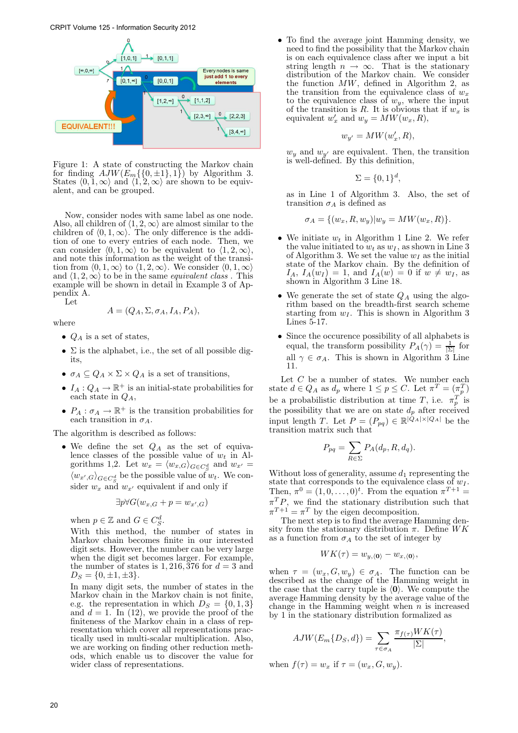

Figure 1: A state of constructing the Markov chain for finding  $AJW(E_m\{\{0,\pm1\},1\})$  by Algorithm 3. States  $\langle 0, 1, \infty \rangle$  and  $\langle 1, 2, \infty \rangle$  are shown to be equivalent, and can be grouped.

Now, consider nodes with same label as one node. Also, all children of  $\langle 1, 2, \infty \rangle$  are almost similar to the children of  $\langle 0, 1, \infty \rangle$ . The only difference is the addition of one to every entries of each node. Then, we can consider  $\langle 0, 1, \infty \rangle$  to be equivalent to  $\langle 1, 2, \infty \rangle$ , and note this information as the weight of the transition from  $\langle 0, 1, \infty \rangle$  to  $\langle 1, 2, \infty \rangle$ . We consider  $\langle 0, 1, \infty \rangle$ and  $\langle 1, 2, \infty \rangle$  to be in the same *equivalent class*. This example will be shown in detail in Example 3 of Appendix A.

Let

where

$$
A = (Q_A, \Sigma, \sigma_A, I_A, P_A),
$$

- $Q_A$  is a set of states,
- $\Sigma$  is the alphabet, i.e., the set of all possible digits,
- $\sigma_A \subseteq Q_A \times \Sigma \times Q_A$  is a set of transitions,
- $I_A: Q_A \to \mathbb{R}^+$  is an initial-state probabilities for each state in  $Q_A$ ,
- $P_A: \sigma_A \to \mathbb{R}^+$  is the transition probabilities for each transition in  $\sigma_A$ .

The algorithm is described as follows:

• We define the set  $Q_A$  as the set of equivalence classes of the possible value of  $w_t$  in Algorithms 1,2. Let  $w_x = \langle w_{x,G} \rangle_{G \in C_S^d}$  and  $w_{x'} =$  $\langle w_{x',G} \rangle_{G \in C_S^d}$  be the possible value of  $w_t$ . We consider  $w_x$  and  $w_{x'}$  equivalent if and only if

$$
\exists p \forall G(w_{x,G} + p = w_{x',G})
$$

when  $p \in \mathbb{Z}$  and  $G \in C_S^d$ .

With this method, the number of states in Markov chain becomes finite in our interested digit sets. However, the number can be very large when the digit set becomes larger. For example, the number of states is 1, 216, 376 for  $d = 3$  and  $D_S = \{0, \pm 1, \pm 3\}.$ 

In many digit sets, the number of states in the Markov chain in the Markov chain is not finite, e.g. the representation in which  $D_S = \{0, 1, 3\}$ and  $d = 1$ . In (12), we provide the proof of the finiteness of the Markov chain in a class of representation which cover all representations practically used in multi-scalar multiplication. Also, we are working on finding other reduction methods, which enable us to discover the value for wider class of representations.

• To find the average joint Hamming density, we need to find the possibility that the Markov chain is on each equivalence class after we input a bit string length  $n \to \infty$ . That is the stationary distribution of the Markov chain. We consider the function  $MW$ , defined in Algorithm 2, as the transition from the equivalence class of  $w_x$ to the equivalence class of  $w_y$ , where the input of the transition is R. It is obvious that if  $w_x$  is equivalent  $w'_x$  and  $w_y = MW(w_x, R)$ ,

$$
w_{y'} = MW(w_x', R),
$$

 $w_y$  and  $w_{y'}$  are equivalent. Then, the transition is well-defined. By this definition,

$$
\Sigma = \{0, 1\}^d,
$$

as in Line 1 of Algorithm 3. Also, the set of transition  $\sigma_A$  is defined as

$$
\sigma_A = \{ (w_x, R, w_y) | w_y = MW(w_x, R) \}.
$$

- We initiate  $w_t$  in Algorithm 1 Line 2. We refer the value initiated to  $w_t$  as  $w_t$ , as shown in Line 3 of Algorithm 3. We set the value  $w_I$  as the initial state of the Markov chain. By the definition of  $I_A$ ,  $I_A(w_I) = 1$ , and  $I_A(w) = 0$  if  $w \neq w_I$ , as shown in Algorithm 3 Line 18.
- We generate the set of state  $Q_A$  using the algorithm based on the breadth-first search scheme starting from  $w_I$ . This is shown in Algorithm 3 Lines 5-17.
- Since the occurence possibility of all alphabets is equal, the transform possibility  $P_A(\gamma) = \frac{1}{|\Sigma|}$  for all  $\gamma \in \sigma_A$ . This is shown in Algorithm 3 Line 11.

Let  $C$  be a number of states. We number each state  $d \in Q_A$  as  $d_p$  where  $1 \leq p \leq C$ . Let  $\pi^T = (\pi_p^T)$ be a probabilistic distribution at time T, i.e.  $\pi_p^T$  is the possibility that we are on state  $d_p$  after received input length T. Let  $P = (P_{pq}) \in \mathbb{R}^{|Q_A| \times |Q_A|}$  be the transition matrix such that

$$
P_{pq} = \sum_{R \in \Sigma} P_A(d_p, R, d_q).
$$

Without loss of generality, assume  $d_1$  representing the state that corresponds to the equivalence class of  $w_I$ . Then,  $\pi^0 = (1, 0, \ldots, 0)^t$ . From the equation  $\pi^{T+1} =$  $\pi^T P$ , we find the stationary distribution such that  $\pi^{T+1} = \pi^T$  by the eigen decomposition.

The next step is to find the average Hamming density from the stationary distribution  $\pi$ . Define  $WK$ as a function from  $\sigma_A$  to the set of integer by

$$
WK(\tau) = w_{y,\langle 0 \rangle} - w_{x,\langle 0 \rangle},
$$

when  $\tau = (w_x, G, w_y) \in \sigma_A$ . The function can be described as the change of the Hamming weight in the case that the carry tuple is  $\langle 0 \rangle$ . We compute the average Hamming density by the average value of the change in the Hamming weight when  $n$  is increased by 1 in the stationary distribution formalized as

$$
AJW(E_m\{D_S, d\}) = \sum_{\tau \in \sigma_A} \frac{\pi_{f(\tau)} W K(\tau)}{|\Sigma|},
$$

when  $f(\tau) = w_x$  if  $\tau = (w_x, G, w_y)$ .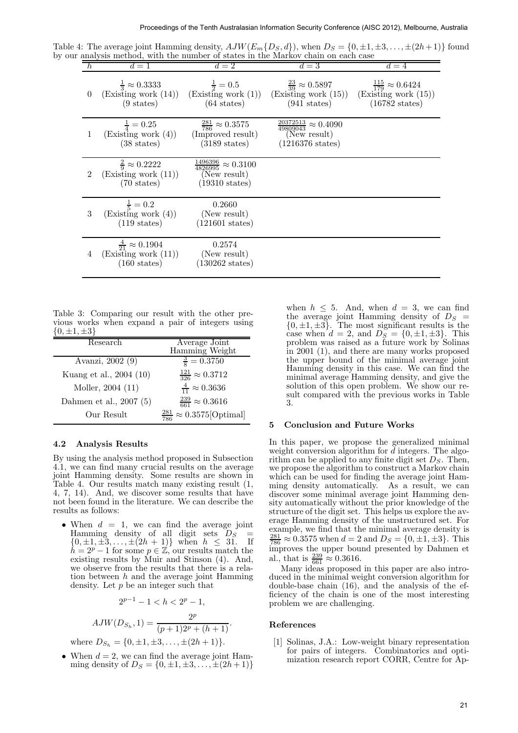Table 4: The average joint Hamming density,  $AJW(E_m\{D_S, d\})$ , when  $D_S = \{0, \pm 1, \pm 3, \ldots, \pm (2h+1)\}$  found by our analysis method, with the number of states in the Markov chain on each case

| $\hbar$<br>$d=2$<br>$d=1$                                                                                                                                                                                                                                                                                                                                                                                                                                                                                                                                                                                                                                                                                                                                                                          | $d=4$<br>$d=3$                                                                                                                                                                                                                                                                                                                                                                                                                                                                                                                                                                                                                                                                                                                                                                                                                                                                                                                                                                                                                                                                                  |
|----------------------------------------------------------------------------------------------------------------------------------------------------------------------------------------------------------------------------------------------------------------------------------------------------------------------------------------------------------------------------------------------------------------------------------------------------------------------------------------------------------------------------------------------------------------------------------------------------------------------------------------------------------------------------------------------------------------------------------------------------------------------------------------------------|-------------------------------------------------------------------------------------------------------------------------------------------------------------------------------------------------------------------------------------------------------------------------------------------------------------------------------------------------------------------------------------------------------------------------------------------------------------------------------------------------------------------------------------------------------------------------------------------------------------------------------------------------------------------------------------------------------------------------------------------------------------------------------------------------------------------------------------------------------------------------------------------------------------------------------------------------------------------------------------------------------------------------------------------------------------------------------------------------|
| $\frac{1}{2} = 0.5$<br>$\frac{1}{3} \approx 0.3333$<br>(Existing work (14))<br>(Existing work (1))<br>$\theta$<br>$(9 \text{ states})$<br>$(64 \text{ states})$                                                                                                                                                                                                                                                                                                                                                                                                                                                                                                                                                                                                                                    | $\frac{115}{179} \approx 0.6424$<br>$\frac{23}{39} \approx 0.5897$<br>(Existing work (15))<br>(Existing work (15))<br>$(941 \text{ states})$<br>$(16782 \text{ states})$                                                                                                                                                                                                                                                                                                                                                                                                                                                                                                                                                                                                                                                                                                                                                                                                                                                                                                                        |
| $\frac{281}{786} \approx 0.3575$<br>$\frac{1}{4} = 0.25$<br>(Existing work (4))<br>(Improved result)<br>$\mathbf{1}$<br>$(38 \text{ states})$<br>$(3189 \text{ states})$                                                                                                                                                                                                                                                                                                                                                                                                                                                                                                                                                                                                                           | $\frac{20372513}{49809043} \approx 0.4090$<br>(New result)<br>$(1216376 \text{ states})$                                                                                                                                                                                                                                                                                                                                                                                                                                                                                                                                                                                                                                                                                                                                                                                                                                                                                                                                                                                                        |
| $\frac{1496396}{4826995} \approx 0.3100$<br>$\frac{2}{9} \approx 0.2222$<br>(Existing work (11))<br>$\overline{2}$<br>(New result)<br>$(70 \text{ states})$<br>$(19310 \text{ states})$                                                                                                                                                                                                                                                                                                                                                                                                                                                                                                                                                                                                            |                                                                                                                                                                                                                                                                                                                                                                                                                                                                                                                                                                                                                                                                                                                                                                                                                                                                                                                                                                                                                                                                                                 |
| $\frac{1}{5} = 0.2$<br>0.2660<br>$\sqrt{3}$<br>(Existing work (4))<br>(New result)<br>$(119 \text{ states})$<br>$(121601 \text{ states})$                                                                                                                                                                                                                                                                                                                                                                                                                                                                                                                                                                                                                                                          |                                                                                                                                                                                                                                                                                                                                                                                                                                                                                                                                                                                                                                                                                                                                                                                                                                                                                                                                                                                                                                                                                                 |
| $\frac{4}{21} \approx 0.1904$<br>0.2574<br>(Existing work (11))<br>(New result)<br>4<br>$(130262 \text{ states})$<br>$(160 \text{ states})$                                                                                                                                                                                                                                                                                                                                                                                                                                                                                                                                                                                                                                                        |                                                                                                                                                                                                                                                                                                                                                                                                                                                                                                                                                                                                                                                                                                                                                                                                                                                                                                                                                                                                                                                                                                 |
| vorks when expand a pair of integers using<br>$\pm 3$<br>Average Joint<br>Research<br>Hamming Weight<br>$\frac{3}{8} = 0.3750$<br>vanzi, 2002 (9).<br>$\frac{121}{326} \approx 0.3712$<br>ng et al., 2004 (10)<br>$\frac{4}{11} \approx 0.3636$<br>[oller, 2004 (11)                                                                                                                                                                                                                                                                                                                                                                                                                                                                                                                               | $\{0, \pm 1, \pm 3\}$ . The most significant results is the<br>case when $d = 2$ , and $DS = \{0, \pm 1, \pm 3\}$ . This<br>problem was raised as a future work by Solinas<br>in $2001$ (1), and there are many works proposed<br>the upper bound of the minimal average joint<br>Hamming density in this case. We can find the<br>minimal average Hamming density, and give the<br>solution of this open problem. We show our re-                                                                                                                                                                                                                                                                                                                                                                                                                                                                                                                                                                                                                                                              |
| $\frac{239}{661} \approx 0.3616$<br>nen et al., 2007 (5)<br>$\frac{281}{786} \approx 0.3575$ [Optimal]<br>Our Result                                                                                                                                                                                                                                                                                                                                                                                                                                                                                                                                                                                                                                                                               | sult compared with the previous works in Table<br>3.<br><b>Conclusion and Future Works</b><br>5                                                                                                                                                                                                                                                                                                                                                                                                                                                                                                                                                                                                                                                                                                                                                                                                                                                                                                                                                                                                 |
| Analysis Results<br>ng the analysis method proposed in Subsection<br>can find many crucial results on the average<br>amming density. Some results are shown in<br>1. Our results match many existing result (1,<br>4). And, we discover some results that have<br>n found in the literature. We can describe the<br>as follows:<br>hen $d = 1$ , we can find the average joint<br>imming density of all digit sets $D_S$<br>$=$<br>$\{\pm 1, \pm 3, \ldots, \pm (2h + 1)\}\$ when $h \leq 31$ . If<br>$= 2^p - 1$ for some $p \in \mathbb{Z}$ , our results match the<br>isting results by Muir and Stinson (4). And,<br>observe from the results that there is a rela-<br>in between $h$ and the average joint Hamming<br>nsity. Let $p$ be an integer such that<br>$2^{p-1} - 1 < h < 2^p - 1$ , | In this paper, we propose the generalized minimal<br>weight conversion algorithm for $d$ integers. The algo-<br>rithm can be applied to any finite digit set $DS$ . Then<br>we propose the algorithm to construct a Markov chain<br>which can be used for finding the average joint Ham-<br>ming density automatically. As a result, we can<br>discover some minimal average joint Hamming den-<br>sity automatically without the prior knowledge of the<br>structure of the digit set. This helps us explore the av-<br>erage Hamming density of the unstructured set. For<br>example, we find that the minimal average density is<br>$\frac{281}{786} \approx 0.3575$ when $d = 2$ and $D_S = \{0, \pm 1, \pm 3\}$ . This<br>improves the upper bound presented by Dahmen et<br>al., that is $\frac{239}{661} \approx 0.3616$ .<br>Many ideas proposed in this paper are also intro-<br>duced in the minimal weight conversion algorithm for<br>double-base chain $(16)$ , and the analysis of the ef-<br>ficiency of the chain is one of the most interesting<br>problem we are challenging. |
| $AJW(D_{S_h}, 1) = \frac{2^{\nu}}{(p+1)2^p + (h+1)}.$                                                                                                                                                                                                                                                                                                                                                                                                                                                                                                                                                                                                                                                                                                                                              | References                                                                                                                                                                                                                                                                                                                                                                                                                                                                                                                                                                                                                                                                                                                                                                                                                                                                                                                                                                                                                                                                                      |

Table 3: Comparing our result with the other previous works when expand a pair of integers using  $\{0, \pm 1, \pm 3\}$ 

| Research                | Average Joint                                   |
|-------------------------|-------------------------------------------------|
|                         | Hamming Weight                                  |
| Avanzi, 2002 (9)        | $\frac{3}{8} = 0.3750$                          |
| Kuang et al., 2004 (10) | $\frac{121}{326} \approx 0.3712$                |
| Moller, 2004 (11)       | $\frac{4}{11} \approx 0.3636$                   |
| Dahmen et al., 2007 (5) | $\frac{239}{661} \approx 0.3616$                |
| Our Result              | $\approx 0.3575$ [Optimal]<br>$\frac{281}{786}$ |

#### 4.2 Analysis Results

By using the analysis method proposed in Subsection 4.1, we can find many crucial results on the average joint Hamming density. Some results are shown in Table 4. Our results match many existing result (1, 4, 7, 14). And, we discover some results that have not been found in the literature. We can describe the results as follows:

• When  $d = 1$ , we can find the average joint Hamming density of all digit sets  $D_S$  $\{0, \pm 1, \pm 3, \ldots, \pm (2h + 1)\}\$  when  $h \leq 31$ . If  $\tilde{h} = 2^p - 1$  for some  $p \in \mathbb{Z}$ , our results match the existing results by Muir and Stinson (4). And, we observe from the results that there is a relation between  $h$  and the average joint Hamming density. Let  $p$  be an integer such that

$$
2^{p-1} - 1 < h < 2^p - 1,
$$
\n2p

$$
AJW(D_{S_h}, 1) = \frac{2^p}{(p+1)2^p + (h+1)}.
$$
  
where  $D_{S_h} = \{0, \pm 1, \pm 3, \dots, \pm (2h+1)\}.$ 

• When  $d = 2$ , we can find the average joint Hamming density of  $D_S = \{0, \pm 1, \pm 3, \ldots, \pm (2h + 1)\}\$ 

## 5 Conclusion and Future Works

## References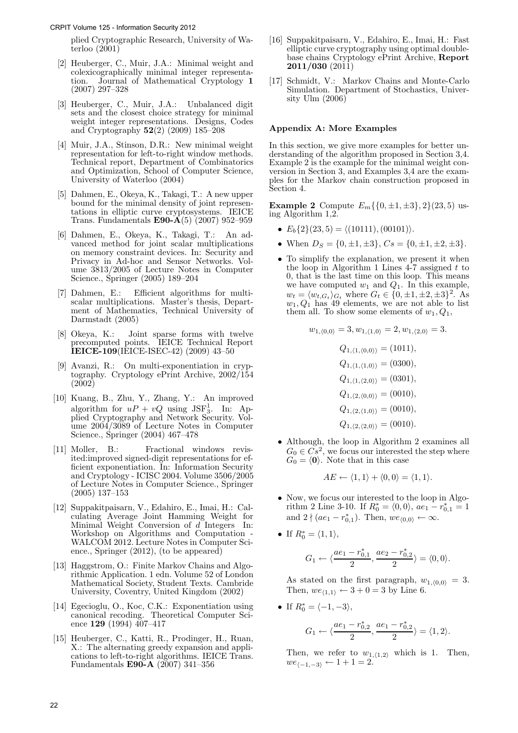plied Cryptographic Research, University of Waterloo (2001)

- [2] Heuberger, C., Muir, J.A.: Minimal weight and colexicographically minimal integer representation. Journal of Mathematical Cryptology 1 (2007) 297–328
- [3] Heuberger, C., Muir, J.A.: Unbalanced digit sets and the closest choice strategy for minimal weight integer representations. Designs, Codes and Cryptography 52(2) (2009) 185–208
- [4] Muir, J.A., Stinson, D.R.: New minimal weight representation for left-to-right window methods. Technical report, Department of Combinatorics and Optimization, School of Computer Science, University of Waterloo (2004)
- [5] Dahmen, E., Okeya, K., Takagi, T.: A new upper bound for the minimal density of joint representations in elliptic curve cryptosystems. IEICE Trans. Fundamentals E90- $\hat{A}(5)$  (2007) 952-959
- [6] Dahmen, E., Okeya, K., Takagi, T.: An advanced method for joint scalar multiplications on memory constraint devices. In: Security and Privacy in Ad-hoc and Sensor Networks. Volume 3813/2005 of Lecture Notes in Computer Science., Springer (2005) 189–204
- [7] Dahmen, E.: Efficient algorithms for multiscalar multiplications. Master's thesis, Department of Mathematics, Technical University of Darmstadt (2005)
- [8] Okeya, K.: Joint sparse forms with twelve precomputed points. IEICE Technical Report IEICE-109(IEICE-ISEC-42) (2009) 43–50
- [9] Avanzi, R.: On multi-exponentiation in cryptography. Cryptology ePrint Archive, 2002/154 (2002)
- [10] Kuang, B., Zhu, Y., Zhang, Y.: An improved algorithm for  $uP + vQ$  using JSF<sub>3</sub>. In: Applied Cryptography and Network Security. Volume 2004/3089 of Lecture Notes in Computer Science., Springer (2004) 467–478
- [11] Moller, B.: Fractional windows revisited:improved signed-digit representations for efficient exponentiation. In: Information Security and Cryptology - ICISC 2004. Volume 3506/2005 of Lecture Notes in Computer Science., Springer (2005) 137–153
- [12] Suppakitpaisarn, V., Edahiro, E., Imai, H.: Calculating Average Joint Hamming Weight for Minimal Weight Conversion of  $d$  Integers In: Workshop on Algorithms and Computation - WALCOM 2012. Lecture Notes in Computer Science., Springer (2012), (to be appeared)
- [13] Haggstrom, O.: Finite Markov Chains and Algorithmic Application. 1 edn. Volume 52 of London Mathematical Society, Student Texts. Cambride University, Coventry, United Kingdom (2002)
- [14] Egecioglu, O., Koc, C.K.: Exponentiation using canonical recoding. Theoretical Computer Science 129 (1994) 407–417
- [15] Heuberger, C., Katti, R., Prodinger, H., Ruan, X.: The alternating greedy expansion and applications to left-to-right algorithms. IEICE Trans. Fundamentals E90-A (2007) 341–356
- [16] Suppakitpaisarn, V., Edahiro, E., Imai, H.: Fast elliptic curve cryptography using optimal doublebase chains Cryptology ePrint Archive, Report  $2011/030(2011)$
- [17] Schmidt, V.: Markov Chains and Monte-Carlo Simulation. Department of Stochastics, University Ulm (2006)

# Appendix A: More Examples

In this section, we give more examples for better understanding of the algorithm proposed in Section 3,4. Example 2 is the example for the minimal weight conversion in Section 3, and Examples 3,4 are the examples for the Markov chain construction proposed in Section 4.

**Example 2** Compute  $E_m\{\{0,\pm 1,\pm 3\},2\}(23,5)$  using Algorithm 1,2.

- $E_b\{2\}(23,5) = \langle (10111), (00101) \rangle.$
- When  $D_s = \{0, \pm 1, \pm 3\}, C_s = \{0, \pm 1, \pm 2, \pm 3\}.$
- To simplify the explanation, we present it when the loop in Algorithm 1 Lines  $4-7$  assigned t to 0, that is the last time on this loop. This means we have computed  $w_1$  and  $Q_1$ . In this example,  $w_t = \langle w_{t,G_t} \rangle_{G_t}$  where  $G_t \in \{0, \pm 1, \pm 2, \pm 3\}^2$ . As  $w_1, Q_1$  has 49 elements, we are not able to list them all. To show some elements of  $w_1, Q_1$ ,

$$
w_{1,\langle 0,0\rangle} = 3, w_{1,\langle 1,0\rangle} = 2, w_{1,\langle 2,0\rangle} = 3.
$$
  
\n
$$
Q_{1,\langle 1,\langle 0,0\rangle\rangle} = (1011),
$$
  
\n
$$
Q_{1,\langle 1,\langle 1,0\rangle\rangle} = (0300),
$$
  
\n
$$
Q_{1,\langle 1,\langle 2,0\rangle\rangle} = (0301),
$$
  
\n
$$
Q_{1,\langle 2,\langle 0,0\rangle\rangle} = (0010),
$$
  
\n
$$
Q_{1,\langle 2,\langle 1,0\rangle\rangle} = (0010),
$$
  
\n
$$
Q_{1,\langle 2,\langle 2,0\rangle\rangle} = (0010).
$$

• Although, the loop in Algorithm 2 examines all  $G_0 \in Cs^2$ , we focus our interested the step where  $G_0 = \langle 0 \rangle$ . Note that in this case

$$
AE \leftarrow \langle 1, 1 \rangle + \langle 0, 0 \rangle = \langle 1, 1 \rangle.
$$

- Now, we focus our interested to the loop in Algorithm 2 Line 3-10. If  $R_0^* = \langle 0, 0 \rangle$ ,  $ae_1 - r_{0,1}^* = 1$ and  $2 \nmid (ae_1 - r_{0,1}^*)$ . Then,  $we_{\langle 0,0 \rangle} \leftarrow \infty$ .
- If  $R_0^* = \langle 1, 1 \rangle$ ,

$$
G_1 \leftarrow \langle \frac{ae_1 - r_{0,1}^*}{2}, \frac{ae_2 - r_{0,2}^*}{2} \rangle = \langle 0, 0 \rangle.
$$

As stated on the first paragraph,  $w_{1,(0,0)} = 3$ . Then,  $we_{(1,1)} \leftarrow 3 + 0 = 3$  by Line 6.

• If  $R_0^* = \langle -1, -3 \rangle$ ,

$$
G_1 \leftarrow \langle \frac{ae_1 - r_{0,2}^*}{2}, \frac{ae_1 - r_{0,2}^*}{2} \rangle = \langle 1, 2 \rangle.
$$

Then, we refer to  $w_{1,(1,2)}$  which is 1. Then,  $we_{(-1,-3)} \leftarrow 1 + 1 = 2.$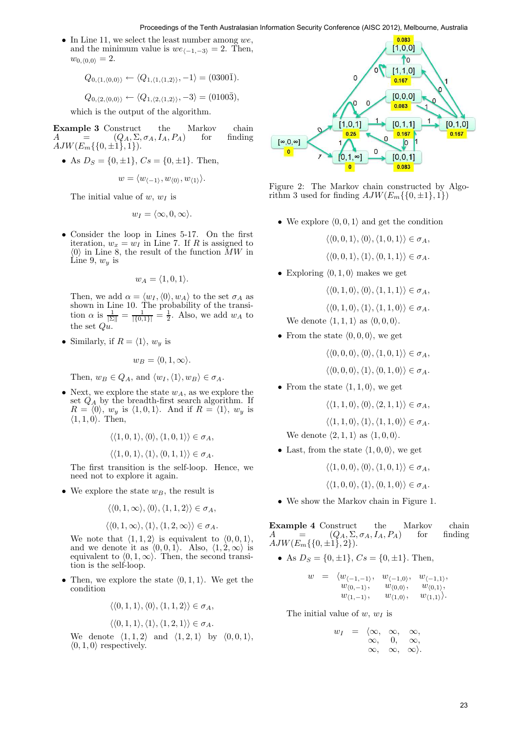• In Line 11, we select the least number among  $we$ , and the minimum value is  $we_{\langle -1,-3\rangle} = 2$ . Then,  $w_{0,\langle 0,0\rangle} = 2.$ 

$$
Q_{0,\langle 1,\langle 0,0\rangle\rangle} \leftarrow \langle Q_{1,\langle 1,\langle 1,2\rangle\rangle}, -1 \rangle = (0300\overline{1}).
$$

$$
Q_{0,\langle 2,\langle 0,0\rangle\rangle} \leftarrow \langle Q_{1,\langle 2,\langle 1,2\rangle\rangle}, -3 \rangle = (0100\overline{3}),
$$

which is the output of the algorithm.

**Example 3** Construct the Markov chain<br> $A = (Q_4, \Sigma, \sigma_4, I_4, P_4)$  for finding  $A = [Q_A, \Sigma, \sigma_A, I_A, P_A]$  for  $AJW(E_m\{\{0,\pm 1\},1\}).$ 

• As  $D_S = \{0, \pm 1\}, C_s = \{0, \pm 1\}.$  Then,

$$
w = \langle w_{\langle -1 \rangle}, w_{\langle 0 \rangle}, w_{\langle 1 \rangle} \rangle.
$$

The initial value of  $w, w_I$  is

$$
w_I = \langle \infty, 0, \infty \rangle.
$$

• Consider the loop in Lines 5-17. On the first iteration,  $w_x = w_I$  in Line 7. If R is assigned to  $\langle 0 \rangle$  in Line 8, the result of the function  $\overline{MW}$  in Line 9,  $w_y$  is

$$
w_A = \langle 1, 0, 1 \rangle.
$$

Then, we add  $\alpha = \langle w_I, \langle 0 \rangle, w_A \rangle$  to the set  $\sigma_A$  as shown in Line 10. The probability of the transition  $\alpha$  is  $\frac{1}{|\Sigma|} = \frac{1}{|\{0,1\}|} = \frac{1}{2}$ . Also, we add  $w_A$  to the set  $Qu.$ 

• Similarly, if  $R = \langle 1 \rangle$ ,  $w_y$  is

$$
w_B = \langle 0, 1, \infty \rangle.
$$

Then,  $w_B \in Q_A$ , and  $\langle w_I, \langle 1 \rangle, w_B \rangle \in \sigma_A$ .

• Next, we explore the state  $w_A$ , as we explore the set  $Q_A$  by the breadth-first search algorithm. If  $R = \langle 0 \rangle$ ,  $w_y$  is  $\langle 1, 0, 1 \rangle$ . And if  $R = \langle 1 \rangle$ ,  $w_y$  is  $\langle 1, 1, 0 \rangle$ . Then,

$$
\langle \langle 1, 0, 1 \rangle, \langle 0 \rangle, \langle 1, 0, 1 \rangle \rangle \in \sigma_A,
$$
  

$$
\langle \langle 1, 0, 1 \rangle, \langle 1 \rangle, \langle 0, 1, 1 \rangle \rangle \in \sigma_A.
$$

The first transition is the self-loop. Hence, we need not to explore it again.

• We explore the state  $w_B$ , the result is

$$
\langle\langle 0,1,\infty\rangle,\langle 0\rangle,\langle 1,1,2\rangle\rangle\in\sigma_A,
$$

$$
\langle\langle 0,1,\infty\rangle,\langle 1\rangle,\langle 1,2,\infty\rangle\rangle\in\sigma_A.
$$

We note that  $\langle 1, 1, 2 \rangle$  is equivalent to  $\langle 0, 0, 1 \rangle$ , and we denote it as  $(0, 0, 1)$ . Also,  $\langle 1, 2, \infty \rangle$  is equivalent to  $\langle 0, 1, \infty \rangle$ . Then, the second transition is the self-loop.

• Then, we explore the state  $\langle 0, 1, 1 \rangle$ . We get the condition

$$
\langle\langle 0,1,1\rangle,\langle 0\rangle,\langle 1,1,2\rangle\rangle\in\sigma_A,
$$

$$
\langle \langle 0,1,1\rangle, \langle 1\rangle, \langle 1,2,1\rangle \rangle \in \sigma_A.
$$

We denote  $\langle 1, 1, 2 \rangle$  and  $\langle 1, 2, 1 \rangle$  by  $\langle 0, 0, 1 \rangle$ ,  $\langle 0, 1, 0 \rangle$  respectively.



Figure 2: The Markov chain constructed by Algorithm 3 used for finding  $AJW(E_m\{\{0,\pm 1\},1\})$ 

• We explore  $\langle 0, 0, 1 \rangle$  and get the condition

$$
\langle\langle 0,0,1\rangle,\langle 0\rangle,\langle 1,0,1\rangle\rangle\in\sigma_A,
$$

$$
\langle \langle 0,0,1\rangle,\langle 1\rangle,\langle 0,1,1\rangle\rangle \in \sigma_A.
$$

• Exploring  $(0, 1, 0)$  makes we get

$$
\langle\langle 0,1,0\rangle,\langle 0\rangle,\langle 1,1,1\rangle\rangle\in\sigma_A,
$$

 $\langle \langle 0, 1, 0 \rangle, \langle 1 \rangle, \langle 1, 1, 0 \rangle \rangle \in \sigma_A.$ 

We denote  $\langle 1, 1, 1 \rangle$  as  $\langle 0, 0, 0 \rangle$ .

• From the state  $\langle 0, 0, 0 \rangle$ , we get

$$
\langle\langle 0,0,0\rangle,\langle 0\rangle,\langle 1,0,1\rangle\rangle\in\sigma_A,
$$

 $\langle \langle 0, 0, 0 \rangle, \langle 1 \rangle, \langle 0, 1, 0 \rangle \rangle \in \sigma_A.$ 

• From the state  $\langle 1, 1, 0 \rangle$ , we get

 $\langle \langle 1, 1, 0 \rangle, \langle 0 \rangle, \langle 2, 1, 1 \rangle \rangle \in \sigma_A$ ,

 $\langle \langle 1, 1, 0 \rangle, \langle 1 \rangle, \langle 1, 1, 0 \rangle \rangle \in \sigma_A.$ 

We denote  $\langle 2, 1, 1 \rangle$  as  $\langle 1, 0, 0 \rangle$ .

• Last, from the state  $\langle 1, 0, 0 \rangle$ , we get

 $\langle \langle 1, 0, 0 \rangle, \langle 0 \rangle, \langle 1, 0, 1 \rangle \rangle \in \sigma_A$ ,

 $\langle \langle 1, 0, 0 \rangle, \langle 1 \rangle, \langle 0, 1, 0 \rangle \rangle \in \sigma_A.$ 

• We show the Markov chain in Figure 1.

**Example 4** Construct the Markov chain  $A = (Q_A, \Sigma, \sigma_A, I_A, P_A)$  for finding  $A = (Q_A, \Sigma, \sigma_A, I_A, P_A)$  for finding  $AJW(E_m\{\{0,\pm 1\},2\}).$ 

• As 
$$
D_S = \{0, \pm 1\}
$$
,  $Cs = \{0, \pm 1\}$ . Then,

$$
w = \langle w_{\langle -1, -1 \rangle}, w_{\langle -1, 0 \rangle}, w_{\langle -1, 1 \rangle}, w_{\langle 0, 0 \rangle}, w_{\langle 0, 1 \rangle}, w_{\langle 0, 1 \rangle}, w_{\langle 1, 1 \rangle}, w_{\langle 1, 0 \rangle}, w_{\langle 1, 1 \rangle} \rangle.
$$

The initial value of  $w, w_I$  is

$$
w_I = \langle \infty, \infty, \infty, \infty, \\ \infty, \infty, \infty, \\ \infty, \infty \rangle.
$$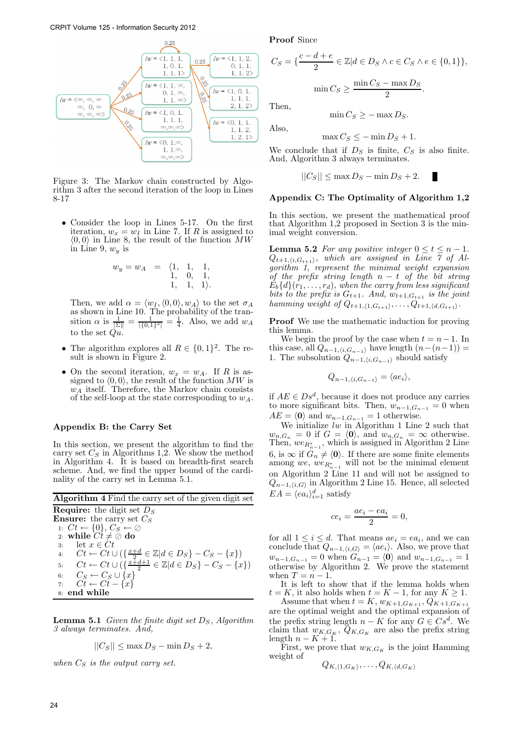

Figure 3: The Markov chain constructed by Algorithm 3 after the second iteration of the loop in Lines 8-17

• Consider the loop in Lines 5-17. On the first iteration,  $w_x = w_I$  in Line 7. If R is assigned to  $\langle 0, 0 \rangle$  in Line 8, the result of the function  $MW$ in Line 9,  $w_y$  is

$$
w_y = w_A = \begin{array}{ccc} \langle 1, & 1, & 1, \\ 1, & 0, & 1, \\ 1, & 1, & 1 \rangle. \end{array}
$$

Then, we add  $\alpha = \langle w_I, \langle 0, 0 \rangle, w_A \rangle$  to the set  $\sigma_A$ as shown in Line 10. The probability of the transition  $\alpha$  is  $\frac{1}{|\Sigma|} = \frac{1}{|\{0,1\}^2|} = \frac{1}{4}$ . Also, we add  $w_A$ to the set  $Qu.$ 

- The algorithm explores all  $R \in \{0,1\}^2$ . The result is shown in Figure 2.
- On the second iteration,  $w_x = w_A$ . If R is assigned to  $\langle 0, 0 \rangle$ , the result of the function MW is  $w_A$  itself. Therefore, the Markov chain consists of the self-loop at the state corresponding to  $w_A$ .

# Appendix B: the Carry Set

In this section, we present the algorithm to find the carry set  $C_S$  in Algorithms 1,2. We show the method in Algorithm 4. It is based on breadth-first search scheme. And, we find the upper bound of the cardinality of the carry set in Lemma 5.1.

| <b>Algorithm 4</b> Find the carry set of the given digit set                              |
|-------------------------------------------------------------------------------------------|
| <b>Require:</b> the digit set $DS$                                                        |
| <b>Ensure:</b> the carry set $C_S$                                                        |
| 1: $Ct \leftarrow \{0\}, C_S \leftarrow \emptyset$                                        |
| 2: while $Ct \neq \emptyset$ do                                                           |
| let $x \in Ct$<br>3:                                                                      |
| 4: $Ct \leftarrow Ct \cup (\{\frac{x+d}{2} \in \mathbb{Z}   d \in D_S\} - C_S - \{x\})$   |
| 5: $Ct \leftarrow Ct \cup (\{\frac{x+d+1}{2} \in \mathbb{Z}   d \in D_S\} - C_S - \{x\})$ |
| 6: $C_S \leftarrow C_S \cup \{x\}$                                                        |
| 7: $Ct \leftarrow Ct - \{x\}$                                                             |
| 8: end while                                                                              |

**Lemma 5.1** Given the finite digit set  $D<sub>S</sub>$ , Algorithm 3 always terminates. And,

$$
||C_S|| \le \max D_S - \min D_S + 2,
$$

when  $C_S$  is the output carry set.

Proof Since

$$
C_S = \{ \frac{c - d + e}{2} \in \mathbb{Z} | d \in D_S \land c \in C_S \land e \in \{0, 1\} \},\
$$

$$
\min C_S \ge \frac{\min C_S - \max D_S}{2}.
$$

Then,

Also,

$$
\max C_S \le -\min D_S + 1.
$$

We conclude that if  $D<sub>S</sub>$  is finite,  $C<sub>S</sub>$  is also finite. And, Algorithm 3 always terminates.

 $\min C_S$  >  $-\max D_S$ .

$$
||C_S|| \le \max D_S - \min D_S + 2.
$$

# Appendix C: The Optimality of Algorithm 1,2

In this section, we present the mathematical proof that Algorithm 1,2 proposed in Section 3 is the minimal weight conversion.

**Lemma 5.2** For any positive integer  $0 \le t \le n - 1$ .  $Q_{t+1,(i,G_{t+1})}$ , which are assigned in Line 7 of Algorithm 1, represent the minimal weight expansion of the prefix string length  $n - t$  of the bit string  $E_b\{d\}(r_1,\ldots,r_d)$ , when the carry from less significant bits to the prefix is  $G_{t+1}$ . And,  $w_{t+1,G_{t+1}}$  is the joint hamming weight of  $Q_{t+1,(1,G_{t+1})}, \ldots, Q_{t+1,(d,G_{t+1})}$ .

**Proof** We use the mathematic induction for proving this lemma.

We begin the proof by the case when  $t = n-1$ . In this case, all  $Q_{n-1,(i,G_{n-1})}$  have length  $(n-(n-1)) =$ 1. The subsolution  $Q_{n-1,(i,G_{n-1})}$  should satisfy

$$
Q_{n-1,\langle i,G_{n-1}\rangle}=\langle ae_i\rangle,
$$

if  $AE \in Ds^d$ , because it does not produce any carries to more significant bits. Then,  $w_{n-1,G_{n-1}} = 0$  when  $AE = \langle 0 \rangle$  and  $w_{n-1,G_{n-1}} = 1$  otherwise.

We initialize  $lw$  in Algorithm 1 Line 2 such that  $w_{n,G_n} = 0$  if  $G = \langle 0 \rangle$ , and  $w_{n,G_n} = \infty$  otherwise. Then,  $we_{R_{n-1}^*}$ , which is assigned in Algorithm 2 Line 6, is  $\infty$  if  $G_n \neq \langle 0 \rangle$ . If there are some finite elements among  $we, we_{R_{n-1}^*}$  will not be the minimal element on Algorithm 2 Line 11 and will not be assigned to  $Q_{n-1,\langle i,G\rangle}$  in Algorithm 2 Line 15. Hence, all selected  $EA = \langle ea_i \rangle_{i=1}^d$  satisfy

$$
ce_i = \frac{ae_i - ea_i}{2} = 0,
$$

for all  $1 \leq i \leq d$ . That means  $ae_i = ea_i$ , and we can conclude that  $Q_{n-1,\langle i,G\rangle} = \langle ae_i\rangle$ . Also, we prove that  $w_{n-1,G_{n-1}} = 0$  when  $G_{n-1} = \langle 0 \rangle$  and  $w_{n-1,G_{n-1}} = 1$ otherwise by Algorithm 2. We prove the statement when  $T = n - 1$ .

It is left to show that if the lemma holds when  $t = K$ , it also holds when  $t = K - 1$ , for any  $K \geq 1$ .

Assume that when  $t = K$ ,  $w_{K+1, G_{K+1}}$ ,  $Q_{K+1, G_{K+1}}$ are the optimal weight and the optimal expansion of the prefix string length  $n - K$  for any  $G \in Cs^d$ . We claim that  $w_{K,G_K}, Q_{K,G_K}$  are also the prefix string length  $n - K + 1$ .

First, we prove that  $w_{K,G_K}$  is the joint Hamming weight of

$$
Q_{K,\langle 1,G_K\rangle},\ldots, Q_{K,\langle d,G_K\rangle}
$$